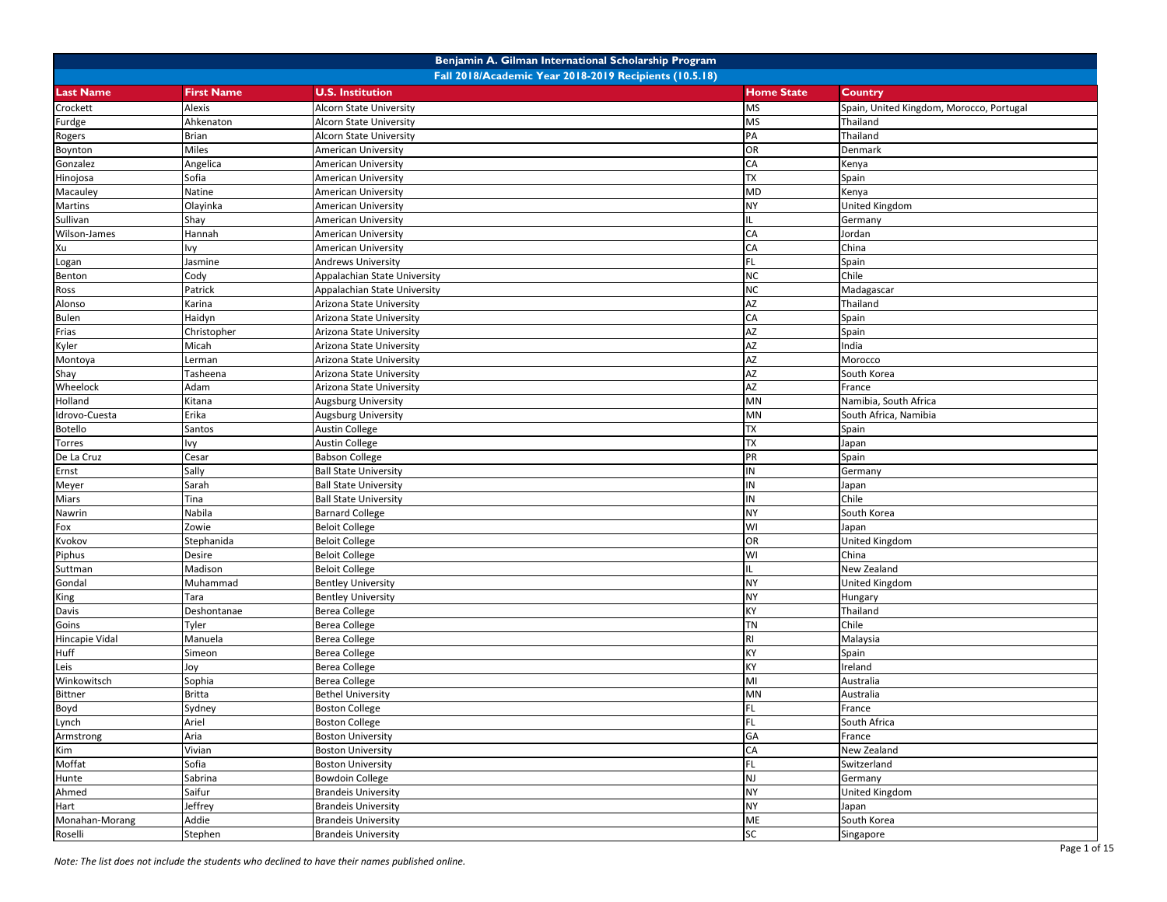|                  |                   | Benjamin A. Gilman International Scholarship Program   |                   |                                          |
|------------------|-------------------|--------------------------------------------------------|-------------------|------------------------------------------|
|                  |                   | Fall 2018/Academic Year 2018-2019 Recipients (10.5.18) |                   |                                          |
| <b>Last Name</b> | <b>First Name</b> | <b>U.S. Institution</b>                                | <b>Home State</b> | Country                                  |
| Crockett         | Alexis            | <b>Alcorn State University</b>                         | <b>MS</b>         | Spain, United Kingdom, Morocco, Portugal |
| Furdge           | Ahkenaton         | Alcorn State University                                | <b>MS</b>         | Thailand                                 |
| Rogers           | Brian             | <b>Alcorn State University</b>                         | PA                | Thailand                                 |
| Boynton          | Miles             | American University                                    | OR                | Denmark                                  |
| Gonzalez         | Angelica          | <b>American University</b>                             | CA                | Kenya                                    |
| Hinojosa         | Sofia             | <b>American University</b>                             | <b>TX</b>         | Spain                                    |
| Macauley         | Natine            | American University                                    | MD                | Kenya                                    |
| Martins          | Olayinka          | American University                                    | NΥ                | <b>United Kingdom</b>                    |
| Sullivan         | Shay              | American University                                    |                   | Germany                                  |
| Wilson-James     | Hannah            | American University                                    | CA                | Jordan                                   |
| Xu               | lvy               | <b>American University</b>                             | CA                | China                                    |
| Logan            | Jasmine           | <b>Andrews University</b>                              | FL.               | Spain                                    |
| Benton           | Cody              | Appalachian State University                           | <b>NC</b>         | Chile                                    |
| Ross             | Patrick           | Appalachian State University                           | <b>NC</b>         | Madagascar                               |
| Alonso           | Karina            | Arizona State University                               | AZ                | Thailand                                 |
| <b>Bulen</b>     | Haidyn            | Arizona State University                               | CA                | Spain                                    |
| Frias            | Christopher       | Arizona State University                               | AZ                | Spain                                    |
| Kyler            | Micah             | Arizona State University                               | AZ                | India                                    |
| Montoya          | Lerman            | Arizona State University                               | AZ                | Morocco                                  |
| Shay             | Tasheena          | Arizona State University                               | AZ                | South Korea                              |
| Wheelock         | Adam              | Arizona State University                               | AZ                | France                                   |
| Holland          | Kitana            | Augsburg University                                    | MN                | Namibia, South Africa                    |
| Idrovo-Cuesta    | Erika             | Augsburg University                                    | MN                | South Africa, Namibia                    |
| <b>Botello</b>   | Santos            | <b>Austin College</b>                                  | TX                | Spain                                    |
| Torres           | lvy               | <b>Austin College</b>                                  | <b>ΤX</b>         | Japan                                    |
| De La Cruz       | Cesar             | <b>Babson College</b>                                  | PR                | Spain                                    |
| Ernst            | Sally             | <b>Ball State University</b>                           | IN                | Germany                                  |
| Meyer            | Sarah             | <b>Ball State University</b>                           | IN                | Japan                                    |
| Miars            | Tina              | <b>Ball State University</b>                           | IN                | Chile                                    |
| Nawrin           | Nabila            | <b>Barnard College</b>                                 | NY                | South Korea                              |
| Fox              | Zowie             | <b>Beloit College</b>                                  | WI                | Japan                                    |
| Kvokov           | Stephanida        | <b>Beloit College</b>                                  | OR                | United Kingdom                           |
| Piphus           | Desire            | <b>Beloit College</b>                                  | WI                | China                                    |
| Suttman          | Madison           | <b>Beloit College</b>                                  |                   | New Zealand                              |
| Gondal           | Muhammad          | <b>Bentley University</b>                              | <b>NY</b>         | United Kingdom                           |
| King             | Tara              | <b>Bentley University</b>                              | <b>NY</b>         | Hungary                                  |
| Davis            | Deshontanae       | <b>Berea College</b>                                   | КY                | Thailand                                 |
| Goins            | Tyler             | <b>Berea College</b>                                   | ΤN                | Chile                                    |
| Hincapie Vidal   | Manuela           | <b>Berea College</b>                                   | RI                | Malaysia                                 |
| Huff             | Simeon            | <b>Berea College</b>                                   | КY                | Spain                                    |
| Leis             | Joy               | <b>Berea College</b>                                   | КY                | Ireland                                  |
| Winkowitsch      | Sophia            | <b>Berea College</b>                                   | MI                | Australia                                |
| <b>Bittner</b>   | <b>Britta</b>     | <b>Bethel University</b>                               | MN                | Australia                                |
| Boyd             | Sydney            | <b>Boston College</b>                                  | FL.               | France                                   |
| Lynch            | Ariel             | <b>Boston College</b>                                  | FL.               | South Africa                             |
| Armstrong        | Aria              | <b>Boston University</b>                               | GA                | France                                   |
| Kim              | Vivian            | <b>Boston University</b>                               | CA                | New Zealand                              |
| Moffat           | Sofia             | <b>Boston University</b>                               | FL.               | Switzerland                              |
| Hunte            | Sabrina           | <b>Bowdoin College</b>                                 | NJ                | Germany                                  |
| Ahmed            | Saifur            | <b>Brandeis University</b>                             | <b>NY</b>         | United Kingdom                           |
| Hart             | Jeffrey           | <b>Brandeis University</b>                             | NY                | Japan                                    |
| Monahan-Morang   | Addie             | <b>Brandeis University</b>                             | ME                | South Korea                              |
| Roselli          | Stephen           | <b>Brandeis University</b>                             | SC                | Singapore                                |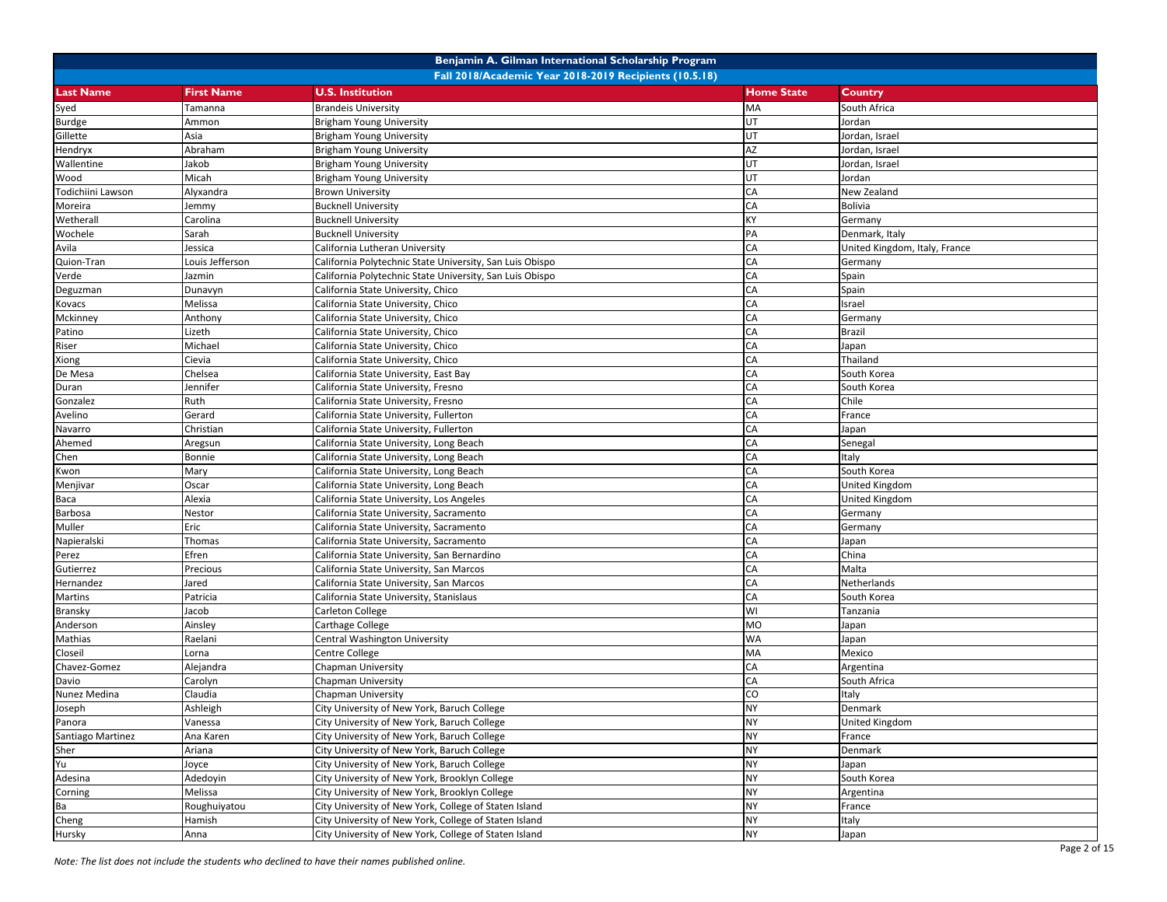|                   |                   | Benjamin A. Gilman International Scholarship Program     |                   |                               |
|-------------------|-------------------|----------------------------------------------------------|-------------------|-------------------------------|
|                   |                   | Fall 2018/Academic Year 2018-2019 Recipients (10.5.18)   |                   |                               |
| <b>Last Name</b>  | <b>First Name</b> | <b>U.S. Institution</b>                                  | <b>Home State</b> | Country                       |
| Syed              | Tamanna           | <b>Brandeis University</b>                               | MA                | South Africa                  |
| <b>Burdge</b>     | Ammon             | <b>Brigham Young University</b>                          | UT                | Jordan                        |
| Gillette          | Asia              | <b>Brigham Young University</b>                          | lut               | Jordan, Israel                |
| Hendryx           | Abraham           | Brigham Young University                                 | AZ                | Jordan, Israel                |
| Wallentine        | Jakob             | <b>Brigham Young University</b>                          | UT                | Jordan, Israel                |
| Wood              | Micah             | <b>Brigham Young University</b>                          | <b>UT</b>         | Jordan                        |
| Todichiini Lawson | Alyxandra         | <b>Brown University</b>                                  | CA                | New Zealand                   |
| Moreira           | Jemmy             | <b>Bucknell University</b>                               | CA                | Bolivia                       |
| Wetherall         | Carolina          | <b>Bucknell University</b>                               | KY                | Germany                       |
| Wochele           | Sarah             | <b>Bucknell University</b>                               | PA                | Denmark, Italy                |
| Avila             | Jessica           | California Lutheran University                           | CA                | United Kingdom, Italy, France |
| Quion-Tran        | ouis Jefferson    | California Polytechnic State University, San Luis Obispo | CA                | Germany                       |
| Verde             | Jazmin            | California Polytechnic State University, San Luis Obispo | CA                | Spain                         |
| Deguzman          | Dunavyn           | California State University, Chico                       | CA                | Spain                         |
| Kovacs            | Melissa           | California State University, Chico                       | CA                | Israel                        |
| Mckinney          | Anthony           | California State University, Chico                       | CA                | Germany                       |
| Patino            | Lizeth            | California State University, Chico                       | CA                | <b>Brazil</b>                 |
| Riser             | Michael           | California State University, Chico                       | CA                | Japan                         |
| Xiong             | Cievia            | California State University, Chico                       | CA                | Thailand                      |
| De Mesa           | Chelsea           | California State University, East Bay                    | CA                | South Korea                   |
| Duran             | Jennifer          | California State University, Fresno                      | CA                | South Korea                   |
| Gonzalez          | Ruth              | California State University, Fresno                      | CA                | Chile                         |
| Avelino           | Gerard            | California State University, Fullerton                   | CA                | France                        |
| Navarro           | Christian         | California State University, Fullerton                   | CA                | Japan                         |
| Ahemed            | Aregsun           | California State University, Long Beach                  | CA                | Senegal                       |
| Chen              | Bonnie            | California State University, Long Beach                  | CA                | Italy                         |
| Kwon              | Mary              | California State University, Long Beach                  | CA                | South Korea                   |
| Menjivar          | Oscar             | California State University, Long Beach                  | CA                | United Kingdom                |
| Baca              | Alexia            | California State University, Los Angeles                 | CA                | United Kingdom                |
| Barbosa           | Nestor            | California State University, Sacramento                  | CA                | Germany                       |
| Muller            | Eric              | California State University, Sacramento                  | CA                | Germany                       |
| Napieralski       | Thomas            | California State University, Sacramento                  | CA                | Japan                         |
| Perez             | Efren             | California State University, San Bernardino              | CA                | China                         |
| Gutierrez         | Precious          | California State University, San Marcos                  | CA                | Malta                         |
| Hernandez         | Jared             | California State University, San Marcos                  | CA                | Netherlands                   |
| Martins           | Patricia          | California State University, Stanislaus                  | <b>CA</b>         | South Korea                   |
| Bransky           | Jacob             | Carleton College                                         | WI                | Tanzania                      |
| Anderson          | Ainsley           | Carthage College                                         | MO                | Japan                         |
| Mathias           | Raelani           | Central Washington University                            | <b>WA</b>         | Japan                         |
| Closeil           | .orna             | Centre College                                           | MA                | Mexico                        |
| Chavez-Gomez      | Alejandra         | Chapman University                                       | CA                | Argentina                     |
| Davio             | Carolyn           | Chapman University                                       | CA                | South Africa                  |
| Nunez Medina      | Claudia           | Chapman University                                       | CO                | Italy                         |
| Joseph            | Ashleigh          | City University of New York, Baruch College              | <b>NY</b>         | Denmark                       |
| Panora            | Vanessa           | City University of New York, Baruch College              | <b>NY</b>         | United Kingdom                |
| Santiago Martinez | Ana Karen         | City University of New York, Baruch College              | <b>NY</b>         | France                        |
| Sher              | Ariana            | City University of New York, Baruch College              | <b>NY</b>         | Denmark                       |
| Yu                | Joyce             | City University of New York, Baruch College              | <b>NY</b>         | Japan                         |
| Adesina           | Adedoyin          | City University of New York, Brooklyn College            | <b>NY</b>         | South Korea                   |
| Corning           | Melissa           | City University of New York, Brooklyn College            | <b>NY</b>         | Argentina                     |
| Ba                | Roughuiyatou      | City University of New York, College of Staten Island    | <b>NY</b>         | France                        |
| Cheng             | Hamish            | City University of New York, College of Staten Island    | <b>NY</b>         | Italy                         |
| Hursky            | Anna              | City University of New York, College of Staten Island    | <b>NY</b>         | Japan                         |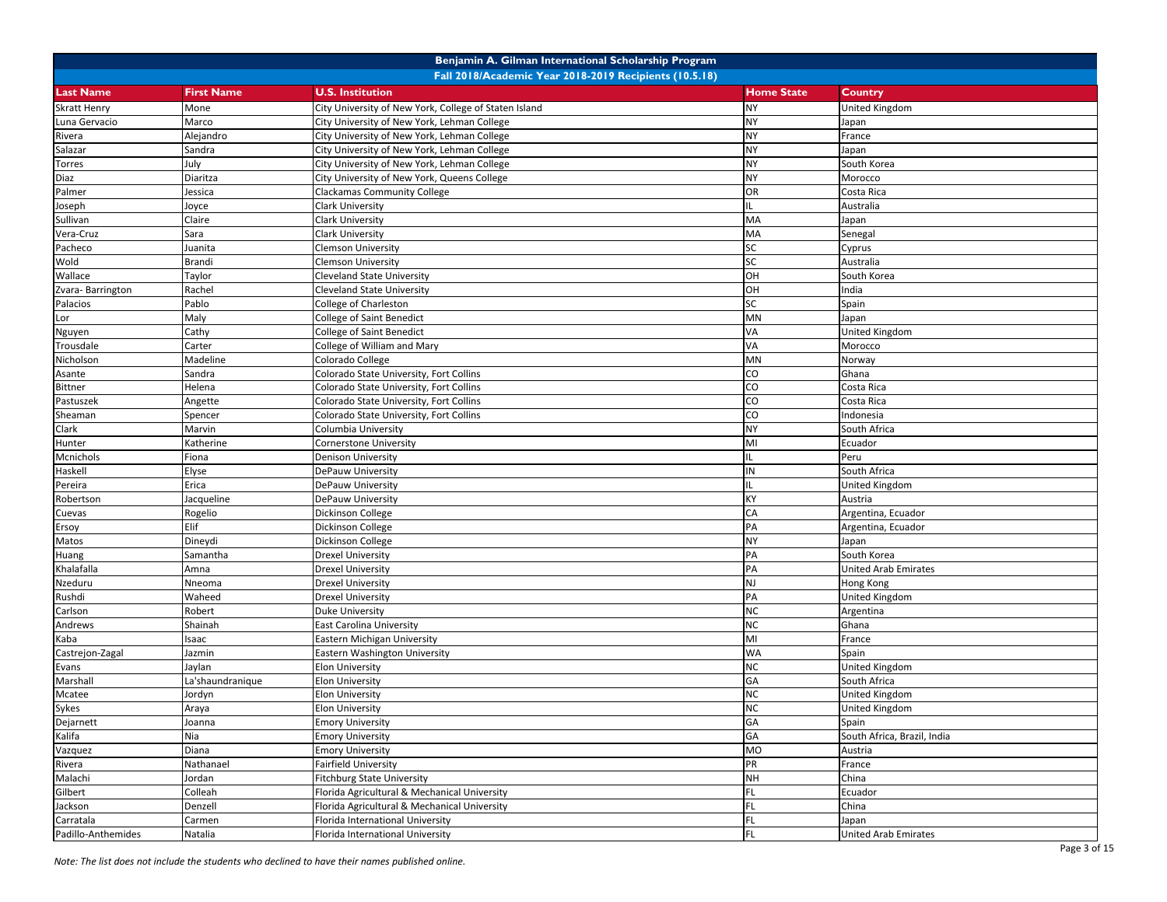|                     |                   | Benjamin A. Gilman International Scholarship Program   |                   |                             |
|---------------------|-------------------|--------------------------------------------------------|-------------------|-----------------------------|
|                     |                   | Fall 2018/Academic Year 2018-2019 Recipients (10.5.18) |                   |                             |
| <b>Last Name</b>    | <b>First Name</b> | <b>U.S. Institution</b>                                | <b>Home State</b> | Country                     |
| <b>Skratt Henry</b> | Mone              | City University of New York, College of Staten Island  | <b>NY</b>         | <b>United Kingdom</b>       |
| Luna Gervacio       | Marco             | City University of New York, Lehman College            | <b>NY</b>         | Japan                       |
| Rivera              | Alejandro         | City University of New York, Lehman College            | <b>NY</b>         | France                      |
| Salazar             | Sandra            | City University of New York, Lehman College            | <b>NY</b>         | Japan                       |
| Torres              | July              | City University of New York, Lehman College            | NY                | South Korea                 |
| Diaz                | Diaritza          | City University of New York, Queens College            | <b>NY</b>         | Morocco                     |
| Palmer              | Jessica           | <b>Clackamas Community College</b>                     | <b>OR</b>         | Costa Rica                  |
| Joseph              | Joyce             | <b>Clark University</b>                                |                   | Australia                   |
| Sullivan            | Claire            | <b>Clark University</b>                                | MA                | Japan                       |
| Vera-Cruz           | Sara              | Clark University                                       | MA                | Senegal                     |
| Pacheco             | Juanita           | <b>Clemson University</b>                              | SC                | Cyprus                      |
| Wold                | Brandi            | <b>Clemson University</b>                              | SC                | Australia                   |
| Wallace             | Taylor            | <b>Cleveland State University</b>                      | OH                | South Korea                 |
| Zvara-Barrington    | Rachel            | <b>Cleveland State University</b>                      | OH                | India                       |
| Palacios            | Pablo             | College of Charleston                                  | SC                | Spain                       |
| Lor                 | Maly              | <b>College of Saint Benedict</b>                       | MN                | Japan                       |
| Nguyen              | Cathy             | <b>College of Saint Benedict</b>                       | VA                | United Kingdom              |
| Trousdale           | Carter            | College of William and Mary                            | VA                | Morocco                     |
| Nicholson           | Madeline          | Colorado College                                       | MN                | Norway                      |
| Asante              | Sandra            | Colorado State University, Fort Collins                | CO                | Ghana                       |
| <b>Bittner</b>      | Helena            | Colorado State University, Fort Collins                | CO                | Costa Rica                  |
| Pastuszek           | Angette           | Colorado State University, Fort Collins                | CO                | Costa Rica                  |
| Sheaman             | Spencer           | Colorado State University, Fort Collins                | CO                | Indonesia                   |
| Clark               | Marvin            | Columbia University                                    | <b>NY</b>         | South Africa                |
| Hunter              | Katherine         | <b>Cornerstone University</b>                          | MI                | Ecuador                     |
| Mcnichols           | Fiona             | Denison University                                     |                   | Peru                        |
| Haskell             | Elyse             | DePauw University                                      | IN                | South Africa                |
| Pereira             | Erica             | DePauw University                                      |                   | United Kingdom              |
| Robertson           | Jacqueline        | DePauw University                                      | KY                | Austria                     |
| Cuevas              | Rogelio           | Dickinson College                                      | CA                | Argentina, Ecuador          |
| Ersoy               | Elif              | Dickinson College                                      | PA                | Argentina, Ecuador          |
| Matos               | Dineydi           | <b>Dickinson College</b>                               | <b>NY</b>         | Japan                       |
| Huang               | Samantha          | <b>Drexel University</b>                               | PA                | South Korea                 |
| Khalafalla          | Amna              | <b>Drexel University</b>                               | PA                | <b>United Arab Emirates</b> |
| Nzeduru             | Nneoma            | <b>Drexel University</b>                               | <b>NJ</b>         | Hong Kong                   |
| Rushdi              | Waheed            | <b>Drexel University</b>                               | PA                | United Kingdom              |
| Carlson             | Robert            | <b>Duke University</b>                                 | <b>NC</b>         | Argentina                   |
| Andrews             | Shainah           | <b>East Carolina University</b>                        | <b>NC</b>         | Ghana                       |
| Kaba                | saac              | Eastern Michigan University                            | MI                | France                      |
| Castrejon-Zagal     | Jazmin            | Eastern Washington University                          | <b>WA</b>         | Spain                       |
| Evans               | Jaylan            | <b>Elon University</b>                                 | <b>NC</b>         | United Kingdom              |
| Marshall            | La'shaundranique  | <b>Elon University</b>                                 | GA                | South Africa                |
| Mcatee              | Jordyn            | <b>Elon University</b>                                 | <b>NC</b>         | United Kingdom              |
| Sykes               | Araya             | Elon University                                        | NC.               | United Kingdom              |
| Dejarnett           | Joanna            | <b>Emory University</b>                                | GA                | Spain                       |
| Kalifa              | Nia               | <b>Emory University</b>                                | GA                | South Africa, Brazil, India |
| Vazquez             | Diana             | <b>Emory University</b>                                | MO                | Austria                     |
| Rivera              | Nathanael         | <b>Fairfield University</b>                            | PR                | France                      |
| Malachi             | Jordan            | <b>Fitchburg State University</b>                      | <b>NH</b>         | China                       |
| Gilbert             | Colleah           | Florida Agricultural & Mechanical University           | FL.               | Ecuador                     |
| Jackson             | Denzell           | Florida Agricultural & Mechanical University           | FL                | China                       |
| Carratala           | Carmen            | Florida International University                       | FL                | Japan                       |
| Padillo-Anthemides  | Natalia           | Florida International University                       | FL.               | <b>United Arab Emirates</b> |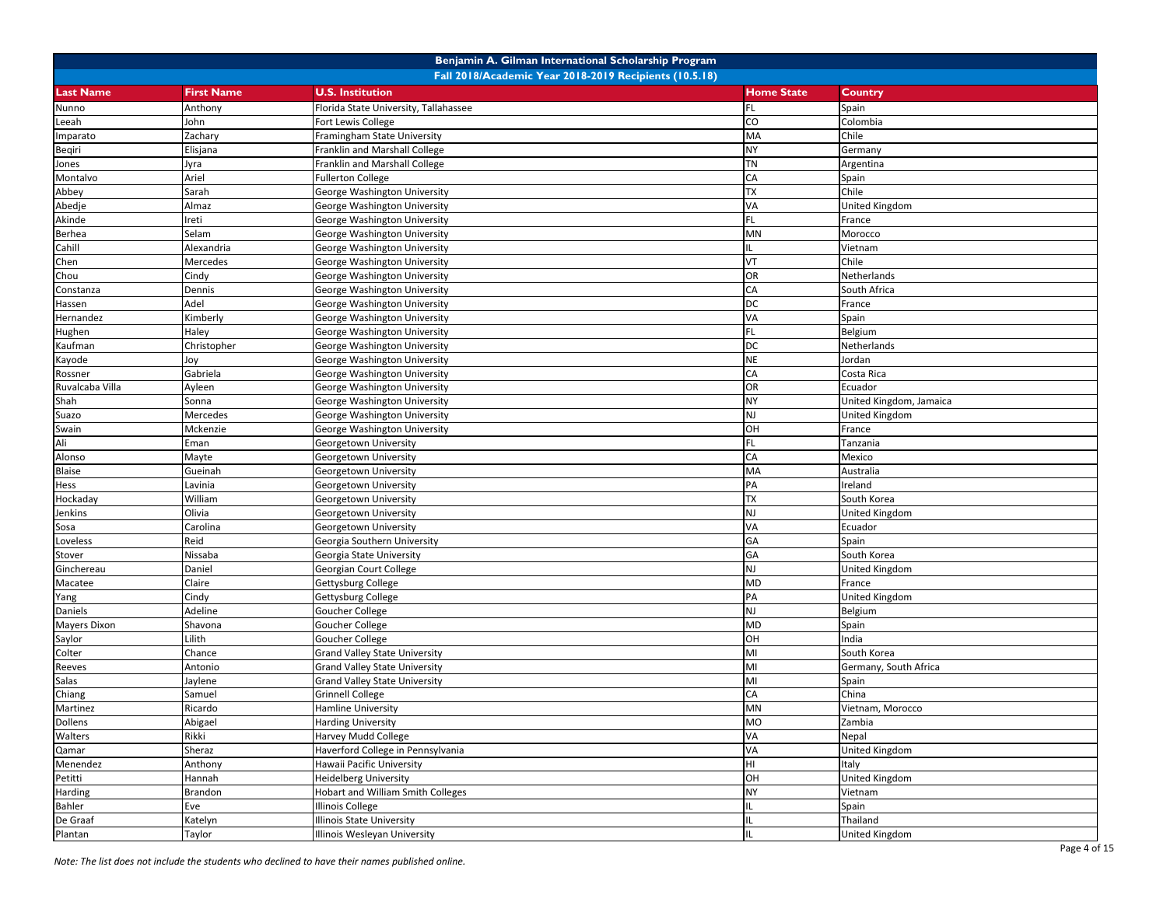|                     |                   | Benjamin A. Gilman International Scholarship Program   |                   |                         |
|---------------------|-------------------|--------------------------------------------------------|-------------------|-------------------------|
|                     |                   | Fall 2018/Academic Year 2018-2019 Recipients (10.5.18) |                   |                         |
| <b>Last Name</b>    | <b>First Name</b> | <b>U.S. Institution</b>                                | <b>Home State</b> | Country                 |
| Nunno               | Anthony           | Florida State University, Tallahassee                  | FL                | Spain                   |
| Leeah               | John              | Fort Lewis College                                     | CO                | Colombia                |
| Imparato            | Zachary           | Framingham State University                            | MA                | Chile                   |
| Beqiri              | Elisjana          | Franklin and Marshall College                          | <b>NY</b>         | Germany                 |
| Jones               | Jyra              | Franklin and Marshall College                          | TN                | Argentina               |
| Montalvo            | Ariel             | <b>Fullerton College</b>                               | CA                | Spain                   |
| Abbey               | Sarah             | George Washington University                           | TX                | Chile                   |
| Abedje              | Almaz             | George Washington University                           | VA                | <b>United Kingdom</b>   |
| Akinde              | reti              | George Washington University                           | FL.               | France                  |
| Berhea              | Selam             | George Washington University                           | MN                | Morocco                 |
| Cahill              | Alexandria        | George Washington University                           |                   | Vietnam                 |
| Chen                | Mercedes          | George Washington University                           | VT                | Chile                   |
| Chou                | Cindy             | George Washington University                           | OR                | Netherlands             |
| Constanza           | Dennis            | George Washington University                           | CA                | South Africa            |
| Hassen              | Adel              | George Washington University                           | DC                | France                  |
| Hernandez           | Kimberly          | George Washington University                           | VA                | Spain                   |
| Hughen              | Haley             | George Washington University                           | FL                | Belgium                 |
| Kaufman             | Christopher       | George Washington University                           | DC                | Netherlands             |
| Kayode              | Joy               | George Washington University                           | <b>NE</b>         | Jordan                  |
| Rossner             | Gabriela          | George Washington University                           | CA                | Costa Rica              |
| Ruvalcaba Villa     | Ayleen            | George Washington University                           | <b>OR</b>         | Ecuador                 |
| Shah                | Sonna             | George Washington University                           | <b>NY</b>         | United Kingdom, Jamaica |
| Suazo               | Mercedes          | George Washington University                           | <b>NJ</b>         | United Kingdom          |
| Swain               | Mckenzie          | George Washington University                           | OH                | France                  |
| Ali                 | Eman              | Georgetown University                                  | <b>FL</b>         | Tanzania                |
| Alonso              | Mayte             | Georgetown University                                  | CA                | Mexico                  |
| Blaise              | Gueinah           | Georgetown University                                  | MA                | Australia               |
| Hess                | Lavinia           | Georgetown University                                  | PA                | Ireland                 |
| Hockaday            | William           | Georgetown University                                  | <b>TX</b>         | South Korea             |
| Jenkins             | Olivia            | Georgetown University                                  | NJ                | United Kingdom          |
| Sosa                | Carolina          | Georgetown University                                  | VA                | Ecuador                 |
| Loveless            | Reid              | Georgia Southern University                            | GA                | Spain                   |
| Stover              | Nissaba           | Georgia State University                               | GA                | South Korea             |
| Ginchereau          | Daniel            | Georgian Court College                                 | NJ                | United Kingdom          |
| Macatee             | Claire            | Gettysburg College                                     | MD                | France                  |
| Yang                | Cindy             | Gettysburg College                                     | PA                | United Kingdom          |
| Daniels             | Adeline           | Goucher College                                        | NJ                | Belgium                 |
| <b>Mayers Dixon</b> | Shavona           | Goucher College                                        | MD                | Spain                   |
| Saylor              | Lilith            | Goucher College                                        | OH                | India                   |
| Colter              | Chance            | <b>Grand Valley State University</b>                   | MI                | South Korea             |
| Reeves              | Antonio           | <b>Grand Valley State University</b>                   | MI                | Germany, South Africa   |
| Salas               | Jaylene           | <b>Grand Valley State University</b>                   | MI                | Spain                   |
| Chiang              | Samuel            | Grinnell College                                       | CA                | China                   |
| Martinez            | Ricardo           | <b>Hamline University</b>                              | <b>MN</b>         | Vietnam, Morocco        |
| Dollens             | Abigael           | <b>Harding University</b>                              | <b>MO</b>         | Zambia                  |
| Walters             | Rikki             | Harvey Mudd College                                    | VA                | Nepal                   |
| Qamar               | Sheraz            | Haverford College in Pennsylvania                      | VA                | <b>United Kingdom</b>   |
| Menendez            | Anthony           | Hawaii Pacific University                              | Iнг               | Italy                   |
| Petitti             | Hannah            | <b>Heidelberg University</b>                           | OH                | <b>United Kingdom</b>   |
| Harding             | Brandon           | Hobart and William Smith Colleges                      | NY                | Vietnam                 |
| Bahler              | Eve               | <b>Illinois College</b>                                |                   | Spain                   |
| De Graaf            | Katelyn           | <b>Illinois State University</b>                       |                   | Thailand                |
| Plantan             | Taylor            | Illinois Wesleyan University                           | IL                | <b>United Kingdom</b>   |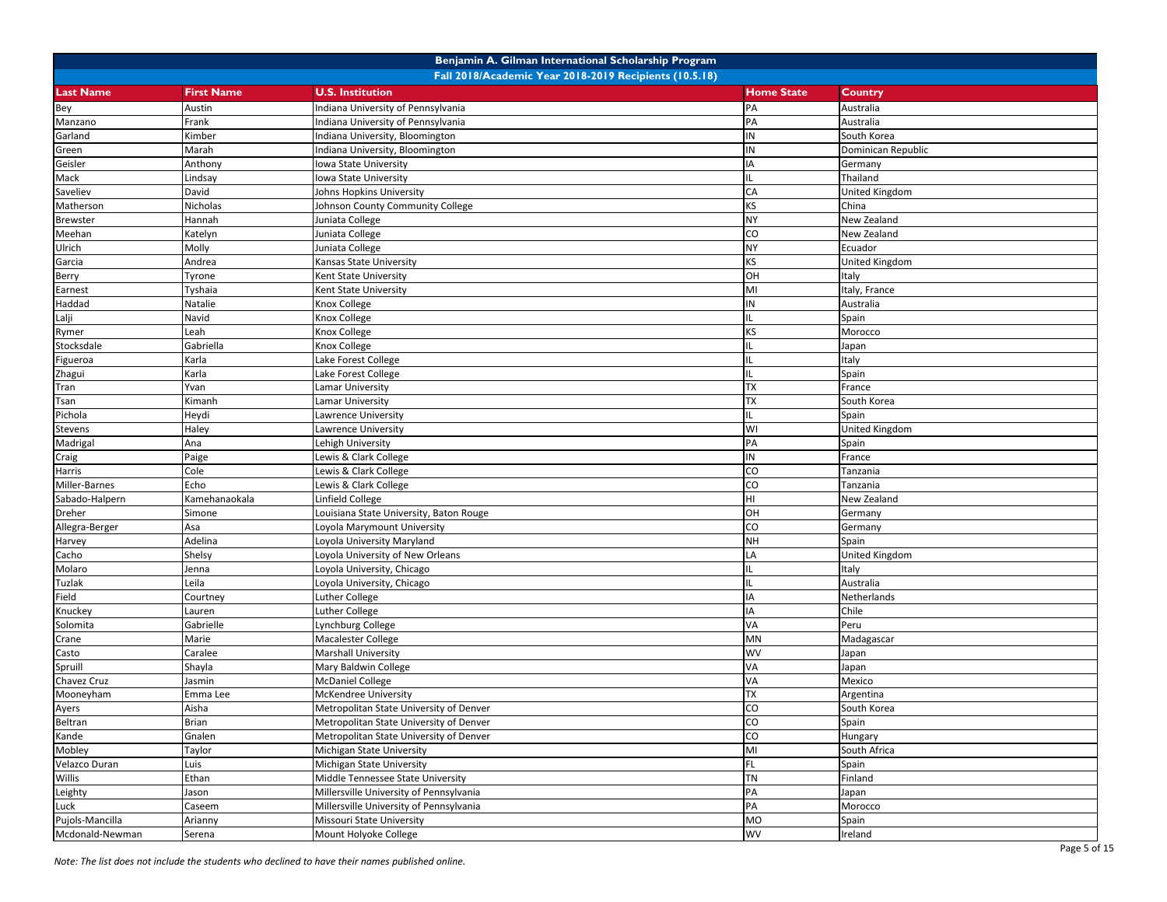|                  |                   | Benjamin A. Gilman International Scholarship Program   |                   |                       |
|------------------|-------------------|--------------------------------------------------------|-------------------|-----------------------|
|                  |                   | Fall 2018/Academic Year 2018-2019 Recipients (10.5.18) |                   |                       |
| <b>Last Name</b> | <b>First Name</b> | <b>U.S. Institution</b>                                | <b>Home State</b> | Country               |
| Bey              | Austin            | Indiana University of Pennsylvania                     | PA                | Australia             |
| Manzano          | Frank             | Indiana University of Pennsylvania                     | PA                | Australia             |
| Garland          | Kimber            | Indiana University, Bloomington                        | IN                | South Korea           |
| Green            | Marah             | Indiana University, Bloomington                        | ${\sf IN}$        | Dominican Republic    |
| Geisler          | Anthony           | Iowa State University                                  | IA                | Germany               |
| Mack             | Lindsay           | Iowa State University                                  | IL.               | Thailand              |
| Saveliev         | David             | Johns Hopkins University                               | CA                | United Kingdom        |
| Matherson        | Nicholas          | Johnson County Community College                       | ΚS                | China                 |
| <b>Brewster</b>  | Hannah            | Juniata College                                        | <b>NY</b>         | New Zealand           |
| Meehan           | Katelyn           | Juniata College                                        | CO                | New Zealand           |
| Ulrich           | Molly             | Juniata College                                        | <b>NY</b>         | Ecuador               |
| Garcia           | Andrea            | Kansas State University                                | KS                | <b>United Kingdom</b> |
| Berry            | Tyrone            | Kent State University                                  | OH                | Italy                 |
| Earnest          | Tyshaia           | Kent State University                                  | MI                | Italy, France         |
| Haddad           | Natalie           | Knox College                                           | IN                | Australia             |
| Lalji            | Navid             | Knox College                                           | IL.               | Spain                 |
| Rymer            | Leah              | <b>Knox College</b>                                    | KS                | Morocco               |
| Stocksdale       | Gabriella         | Knox College                                           | IL.               | Japan                 |
| Figueroa         | Karla             | Lake Forest College                                    | IL                | Italy                 |
| Zhagui           | Karla             | Lake Forest College                                    | IL.               | Spain                 |
| Tran             | Yvan              | Lamar University                                       | <b>TX</b>         | France                |
| Tsan             | Kimanh            | Lamar University                                       | <b>TX</b>         | South Korea           |
| Pichola          | Heydi             | Lawrence University                                    | IL.               | Spain                 |
| Stevens          | Haley             | Lawrence University                                    | WI                | United Kingdom        |
| Madrigal         | Ana               | Lehigh University                                      | PA                | Spain                 |
| Craig            | Paige             | Lewis & Clark College                                  | IN                | France                |
| Harris           | Cole              | Lewis & Clark College                                  | CO                | Tanzania              |
| Miller-Barnes    | Echo              | Lewis & Clark College                                  | CO                | Tanzania              |
| Sabado-Halpern   | Kamehanaokala     | Linfield College                                       | HI                | New Zealand           |
| Dreher           | Simone            | Louisiana State University, Baton Rouge                | OH                | Germany               |
| Allegra-Berger   | Asa               | Loyola Marymount University                            | CO                | Germany               |
| Harvey           | Adelina           | Loyola University Maryland                             | <b>NH</b>         | Spain                 |
| Cacho            | Shelsy            | Loyola University of New Orleans                       | LA                | <b>United Kingdom</b> |
| Molaro           | Jenna             | Loyola University, Chicago                             | IL.               | Italy                 |
| Tuzlak           | Leila             | Loyola University, Chicago                             | IL                | Australia             |
| Field            | Courtney          | <b>Luther College</b>                                  | IA                | Netherlands           |
| Knuckey          | Lauren            | Luther College                                         | IA                | Chile                 |
| Solomita         | Gabrielle         | Lynchburg College                                      | VA                | Peru                  |
| Crane            | Marie             | Macalester College                                     | MN                | Madagascar            |
| Casto            | Caralee           | <b>Marshall University</b>                             | WV                | Japan                 |
| Spruill          | Shayla            | Mary Baldwin College                                   | VA                | Japan                 |
| Chavez Cruz      | Jasmin            | <b>McDaniel College</b>                                | VA                | Mexico                |
| Mooneyham        | Emma Lee          | McKendree University                                   | <b>TX</b>         | Argentina             |
| Ayers            | Aisha             | Metropolitan State University of Denver                | CO                | South Korea           |
| Beltran          | <b>Brian</b>      | Metropolitan State University of Denver                | $\rm{CO}$         | Spain                 |
| Kande            | Gnalen            | Metropolitan State University of Denver                | $\overline{c}$    | Hungary               |
| Mobley           | Taylor            | Michigan State University                              | MI                | South Africa          |
| Velazco Duran    | Luis              | Michigan State University                              | FL.               | Spain                 |
| Willis           | Ethan             | Middle Tennessee State University                      | TN                | Finland               |
| Leighty          | Jason             | Millersville University of Pennsylvania                | PA                | Japan                 |
| Luck             | Caseem            | Millersville University of Pennsylvania                | PA                | Morocco               |
| Pujols-Mancilla  | Arianny           | Missouri State University                              | <b>MO</b>         | Spain                 |
| Mcdonald-Newman  | Serena            | Mount Holyoke College                                  | <b>WV</b>         | Ireland               |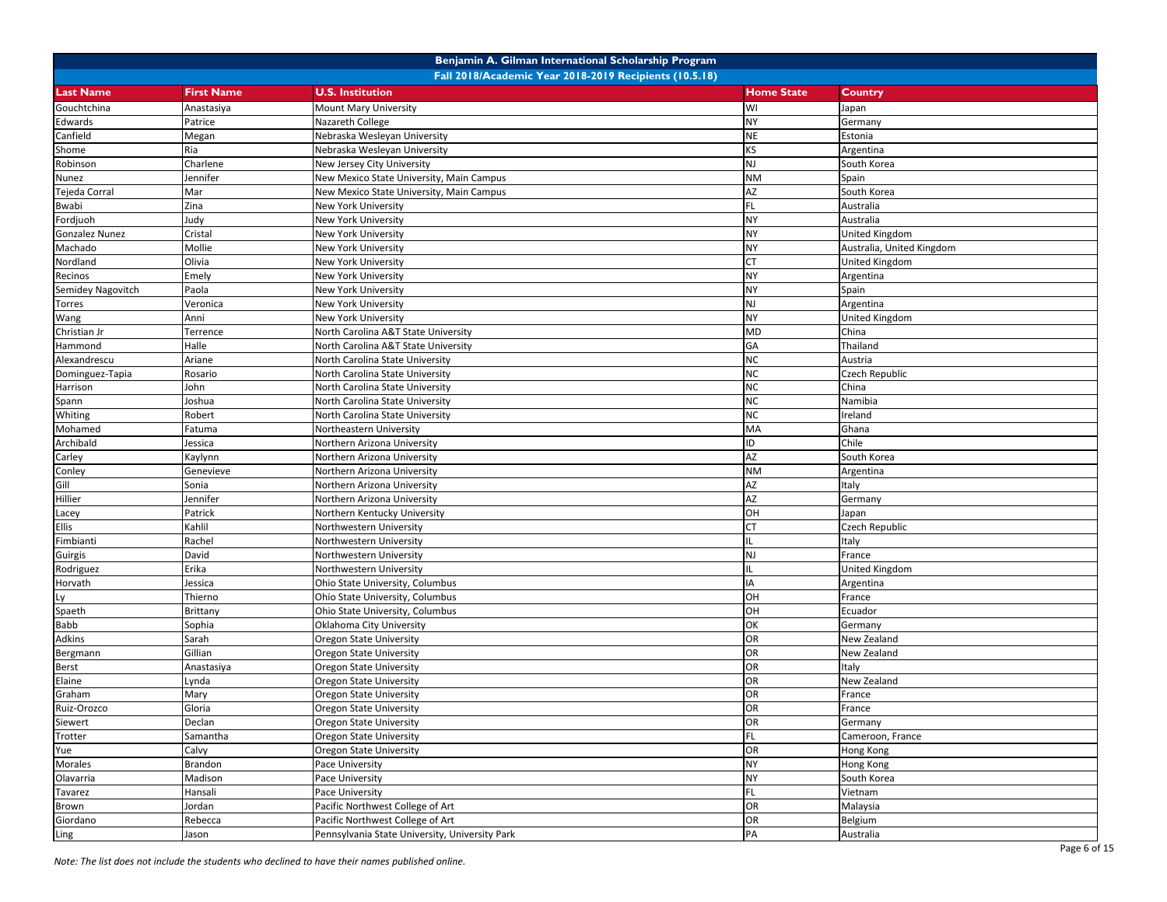|                   |                                                                                              | Benjamin A. Gilman International Scholarship Program   |                   |                           |
|-------------------|----------------------------------------------------------------------------------------------|--------------------------------------------------------|-------------------|---------------------------|
|                   |                                                                                              | Fall 2018/Academic Year 2018-2019 Recipients (10.5.18) |                   |                           |
| <b>Last Name</b>  | <b>First Name</b>                                                                            | <b>U.S. Institution</b>                                | <b>Home State</b> | <b>Country</b>            |
| Gouchtchina       | Anastasiya                                                                                   | <b>Mount Mary University</b>                           | WI                | Japan                     |
| Edwards           | Patrice                                                                                      | Nazareth College                                       | NY                | Germany                   |
| Canfield          | Megan                                                                                        | Nebraska Wesleyan University                           | <b>NE</b>         | Estonia                   |
| Shome             | Ria                                                                                          | Nebraska Wesleyan University                           | KS                | Argentina                 |
| Robinson          | Charlene                                                                                     | New Jersey City University                             | <b>NJ</b>         | South Korea               |
| Nunez             | Jennifer                                                                                     | New Mexico State University, Main Campus               | <b>NM</b>         | Spain                     |
| Tejeda Corral     | Mar                                                                                          | New Mexico State University, Main Campus               | AZ                | South Korea               |
| Bwabi             | Zina                                                                                         | New York University                                    | FL.               | Australia                 |
| Fordjuoh          | Judy                                                                                         | New York University                                    | <b>NY</b>         | Australia                 |
| Gonzalez Nunez    | Cristal                                                                                      | New York University                                    | <b>NY</b>         | <b>United Kingdom</b>     |
| Machado           | Mollie                                                                                       | New York University                                    | <b>NY</b>         | Australia, United Kingdom |
| Nordland          | Olivia                                                                                       | <b>New York University</b>                             | <b>CT</b>         | United Kingdom            |
| Recinos           | Emely                                                                                        | New York University                                    | <b>NY</b>         | Argentina                 |
| Semidey Nagovitch | Paola                                                                                        | New York University                                    | <b>NY</b>         | Spain                     |
| Torres            | Veronica                                                                                     | New York University                                    | <b>NJ</b>         | Argentina                 |
| Wang              | Anni                                                                                         | New York University                                    | <b>NY</b>         | United Kingdom            |
| Christian Jr      | Terrence                                                                                     | North Carolina A&T State University                    | <b>MD</b>         | China                     |
| Hammond           | Halle                                                                                        | North Carolina A&T State University                    | GA                | Thailand                  |
| Alexandrescu      | Ariane                                                                                       | North Carolina State University                        | <b>NC</b>         | Austria                   |
| Dominguez-Tapia   | Rosario                                                                                      | North Carolina State University                        | <b>NC</b>         | Czech Republic            |
| Harrison          | John                                                                                         | North Carolina State University                        | <b>NC</b>         | China                     |
| Spann             | Joshua                                                                                       | North Carolina State University                        | <b>NC</b>         | Namibia                   |
| Whiting           | Robert                                                                                       | North Carolina State University                        | <b>NC</b>         | Ireland                   |
| Mohamed           | Fatuma                                                                                       | Northeastern University                                | MA                | Ghana                     |
| Archibald         | Jessica                                                                                      | Northern Arizona University                            | ID                | Chile                     |
| Carley            | <aylynn< td=""><td>Northern Arizona University</td><td>AZ</td><td>South Korea</td></aylynn<> | Northern Arizona University                            | AZ                | South Korea               |
| Conley            | Genevieve                                                                                    | Northern Arizona University                            | <b>NM</b>         | Argentina                 |
| Gill              | Sonia                                                                                        | Northern Arizona University                            | AZ                | Italy                     |
| Hillier           | Jennifer                                                                                     | Northern Arizona University                            | <b>AZ</b>         | Germany                   |
| Lacey             | Patrick                                                                                      | Northern Kentucky University                           | OH                | Japan                     |
| Ellis             | Kahlil                                                                                       | Northwestern University                                | СT                | Czech Republic            |
| Fimbianti         | Rachel                                                                                       | Northwestern University                                |                   | Italy                     |
| Guirgis           | David                                                                                        | Northwestern University                                | NJ                | France                    |
| Rodriguez         | Erika                                                                                        | Northwestern University                                |                   | United Kingdom            |
| Horvath           | Jessica                                                                                      | Ohio State University, Columbus                        | <b>IA</b>         | Argentina                 |
| Ly                | Thierno                                                                                      | Ohio State University, Columbus                        | OH                | France                    |
| Spaeth            | Brittany                                                                                     | Ohio State University, Columbus                        | OH                | Ecuador                   |
| Babb              | Sophia                                                                                       | Oklahoma City University                               | OK                | Germany                   |
| Adkins            | Sarah                                                                                        | Oregon State University                                | OR                | New Zealand               |
| Bergmann          | Gillian                                                                                      | Oregon State University                                | OR                | New Zealand               |
| Berst             | Anastasiya                                                                                   | <b>Oregon State University</b>                         | <b>OR</b>         | Italy                     |
| Elaine            | .ynda                                                                                        | Oregon State University                                | OR                | New Zealand               |
| Graham            | Mary                                                                                         | <b>Oregon State University</b>                         | <b>OR</b>         | France                    |
| Ruiz-Orozco       | Gloria                                                                                       | Oregon State University                                | <b>OR</b>         | France                    |
| Siewert           | Declan                                                                                       | Oregon State University                                | OR                | Germany                   |
| Trotter           | Samantha                                                                                     | <b>Oregon State University</b>                         | FL.               | Cameroon, France          |
| Yue               | Calvy                                                                                        | <b>Oregon State University</b>                         | OR                | Hong Kong                 |
| Morales           | Brandon                                                                                      | Pace University                                        | <b>NY</b>         | Hong Kong                 |
| Olavarria         | Madison                                                                                      | Pace University                                        | <b>NY</b>         | South Korea               |
| Tavarez           | Hansali                                                                                      | Pace University                                        | FL                | Vietnam                   |
| Brown             | Jordan                                                                                       | Pacific Northwest College of Art                       | OR                | Malaysia                  |
| Giordano          | Rebecca                                                                                      | Pacific Northwest College of Art                       | OR                | Belgium                   |
| Ling              | Jason                                                                                        | Pennsylvania State University, University Park         | PA                | Australia                 |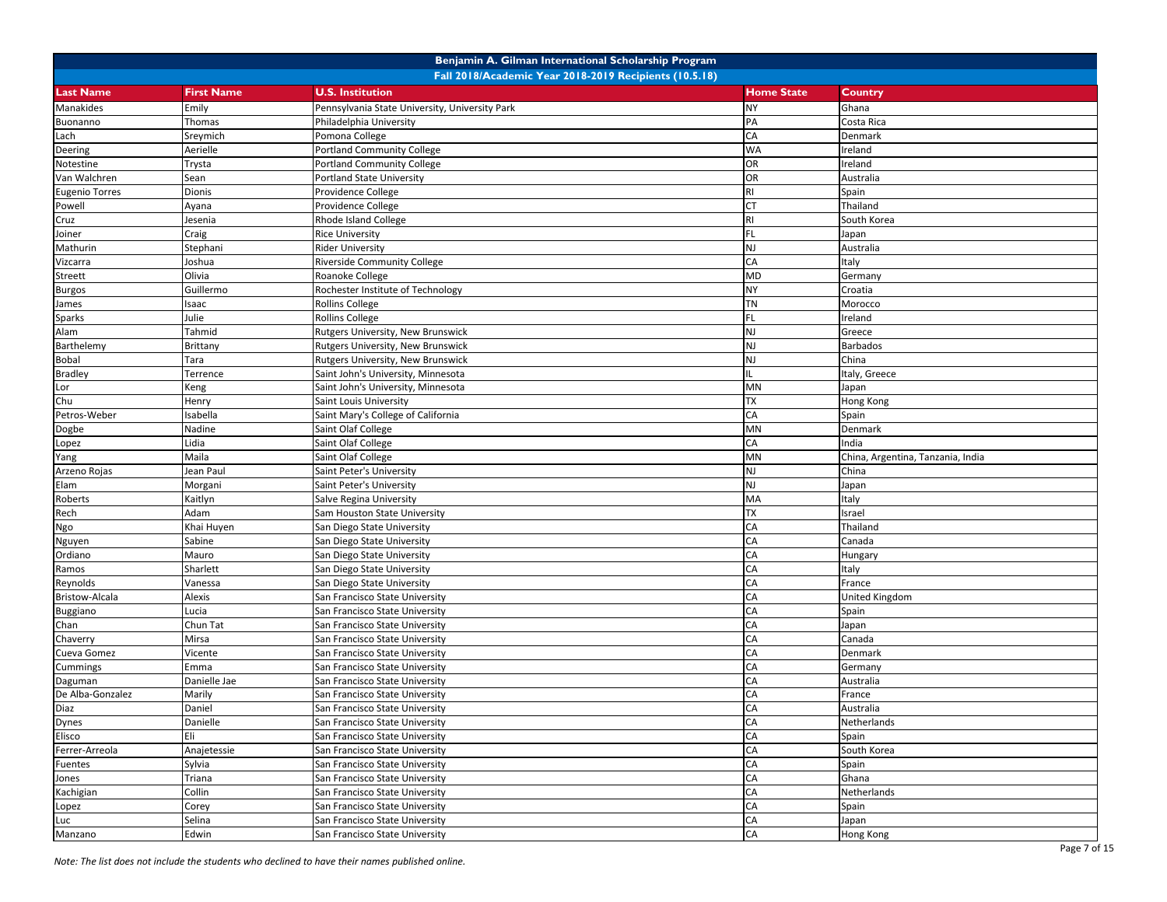|                       |                                                        | Benjamin A. Gilman International Scholarship Program |                   |                                   |  |  |
|-----------------------|--------------------------------------------------------|------------------------------------------------------|-------------------|-----------------------------------|--|--|
|                       | Fall 2018/Academic Year 2018-2019 Recipients (10.5.18) |                                                      |                   |                                   |  |  |
| <b>Last Name</b>      | <b>First Name</b>                                      | <b>U.S. Institution</b>                              | <b>Home State</b> | Country                           |  |  |
| Manakides             | Emily                                                  | Pennsylvania State University, University Park       | <b>NY</b>         | Ghana                             |  |  |
| Buonanno              | Thomas                                                 | Philadelphia University                              | PA                | Costa Rica                        |  |  |
| Lach                  | Sreymich                                               | Pomona College                                       | CA                | Denmark                           |  |  |
| Deering               | Aerielle                                               | <b>Portland Community College</b>                    | <b>WA</b>         | Ireland                           |  |  |
| Notestine             | Trysta                                                 | <b>Portland Community College</b>                    | <b>OR</b>         | Ireland                           |  |  |
| Van Walchren          | Sean                                                   | <b>Portland State University</b>                     | <b>OR</b>         | Australia                         |  |  |
| <b>Eugenio Torres</b> | Dionis                                                 | Providence College                                   | RI                | Spain                             |  |  |
| Powell                | Ayana                                                  | Providence College                                   | <b>CT</b>         | Thailand                          |  |  |
| Cruz                  | Jesenia                                                | Rhode Island College                                 | RI.               | South Korea                       |  |  |
| Joiner                | Craig                                                  | <b>Rice University</b>                               | <b>FL</b>         | Japan                             |  |  |
| Mathurin              | Stephani                                               | <b>Rider University</b>                              | <b>NJ</b>         | Australia                         |  |  |
| Vizcarra              | Joshua                                                 | <b>Riverside Community College</b>                   | CA                | Italy                             |  |  |
| Streett               | Olivia                                                 | Roanoke College                                      | MD                | Germany                           |  |  |
| Burgos                | Guillermo                                              | Rochester Institute of Technology                    | NY                | Croatia                           |  |  |
| James                 | saac                                                   | <b>Rollins College</b>                               | TN                | Morocco                           |  |  |
| Sparks                | Julie                                                  | <b>Rollins College</b>                               | FL.               | Ireland                           |  |  |
| Alam                  | Tahmid                                                 | Rutgers University, New Brunswick                    | <b>NJ</b>         | Greece                            |  |  |
| Barthelemy            | Brittany                                               | Rutgers University, New Brunswick                    | <b>NJ</b>         | Barbados                          |  |  |
| Bobal                 | Tara                                                   | Rutgers University, New Brunswick                    | NJ                | China                             |  |  |
| <b>Bradley</b>        | Terrence                                               | Saint John's University, Minnesota                   | IL.               | Italy, Greece                     |  |  |
| Lor                   | Keng                                                   | Saint John's University, Minnesota                   | <b>MN</b>         | Japan                             |  |  |
| Chu                   | Henry                                                  | Saint Louis University                               | <b>TX</b>         | Hong Kong                         |  |  |
| Petros-Weber          | sabella                                                | Saint Mary's College of California                   | CA                | Spain                             |  |  |
| Dogbe                 | Nadine                                                 | Saint Olaf College                                   | <b>MN</b>         | Denmark                           |  |  |
| Lopez                 | Lidia                                                  | Saint Olaf College                                   | CA                | India                             |  |  |
| Yang                  | Maila                                                  | Saint Olaf College                                   | MN                | China, Argentina, Tanzania, India |  |  |
| Arzeno Rojas          | Jean Paul                                              | Saint Peter's University                             | <b>NJ</b>         | China                             |  |  |
| Elam                  | Morgani                                                | Saint Peter's University                             | <b>NJ</b>         | Japan                             |  |  |
| Roberts               | Kaitlyn                                                | Salve Regina University                              | MA                | Italy                             |  |  |
| Rech                  | Adam                                                   | Sam Houston State University                         | <b>TX</b>         | Israel                            |  |  |
| Ngo                   | Khai Huyen                                             | San Diego State University                           | CA                | Thailand                          |  |  |
| Nguyen                | Sabine                                                 | San Diego State University                           | CA                | Canada                            |  |  |
| Ordiano               | Mauro                                                  | San Diego State University                           | CA                | Hungary                           |  |  |
| Ramos                 | Sharlett                                               | San Diego State University                           | CA                | Italy                             |  |  |
| Reynolds              | Vanessa                                                | San Diego State University                           | CA                | France                            |  |  |
| Bristow-Alcala        | Alexis                                                 | San Francisco State University                       | CA                | United Kingdom                    |  |  |
| Buggiano              | Lucia                                                  | San Francisco State University                       | CA                | Spain                             |  |  |
| Chan                  | Chun Tat                                               | San Francisco State University                       | CA                | Japan                             |  |  |
| Chaverry              | Mirsa                                                  | San Francisco State University                       | CA                | Canada                            |  |  |
| Cueva Gomez           | Vicente                                                | San Francisco State University                       | CA                | Denmark                           |  |  |
| Cummings              | Emma                                                   | San Francisco State University                       | CA                | Germany                           |  |  |
| Daguman               | Danielle Jae                                           | San Francisco State University                       | CA                | Australia                         |  |  |
| De Alba-Gonzalez      | Marily                                                 | San Francisco State University                       | CA                | France                            |  |  |
| Diaz                  | Daniel                                                 | San Francisco State University                       | CA                | Australia                         |  |  |
| Dynes                 | Danielle                                               | San Francisco State University                       | CA                | Netherlands                       |  |  |
| Elisco                | Eli                                                    | San Francisco State University                       | CA                | Spain                             |  |  |
| Ferrer-Arreola        | Anajetessie                                            | San Francisco State University                       | CA                | South Korea                       |  |  |
| <b>Fuentes</b>        | Sylvia                                                 | San Francisco State University                       | CA                | Spain                             |  |  |
| Jones                 | Triana                                                 | San Francisco State University                       | CA                | Ghana                             |  |  |
| Kachigian             | Collin                                                 | San Francisco State University                       | CA                | Netherlands                       |  |  |
| Lopez                 | Corey                                                  | San Francisco State University                       | CA                | Spain                             |  |  |
| Luc                   | Selina                                                 | San Francisco State University                       | CA                | Japan                             |  |  |
| Manzano               | Edwin                                                  | San Francisco State University                       | CA                | Hong Kong                         |  |  |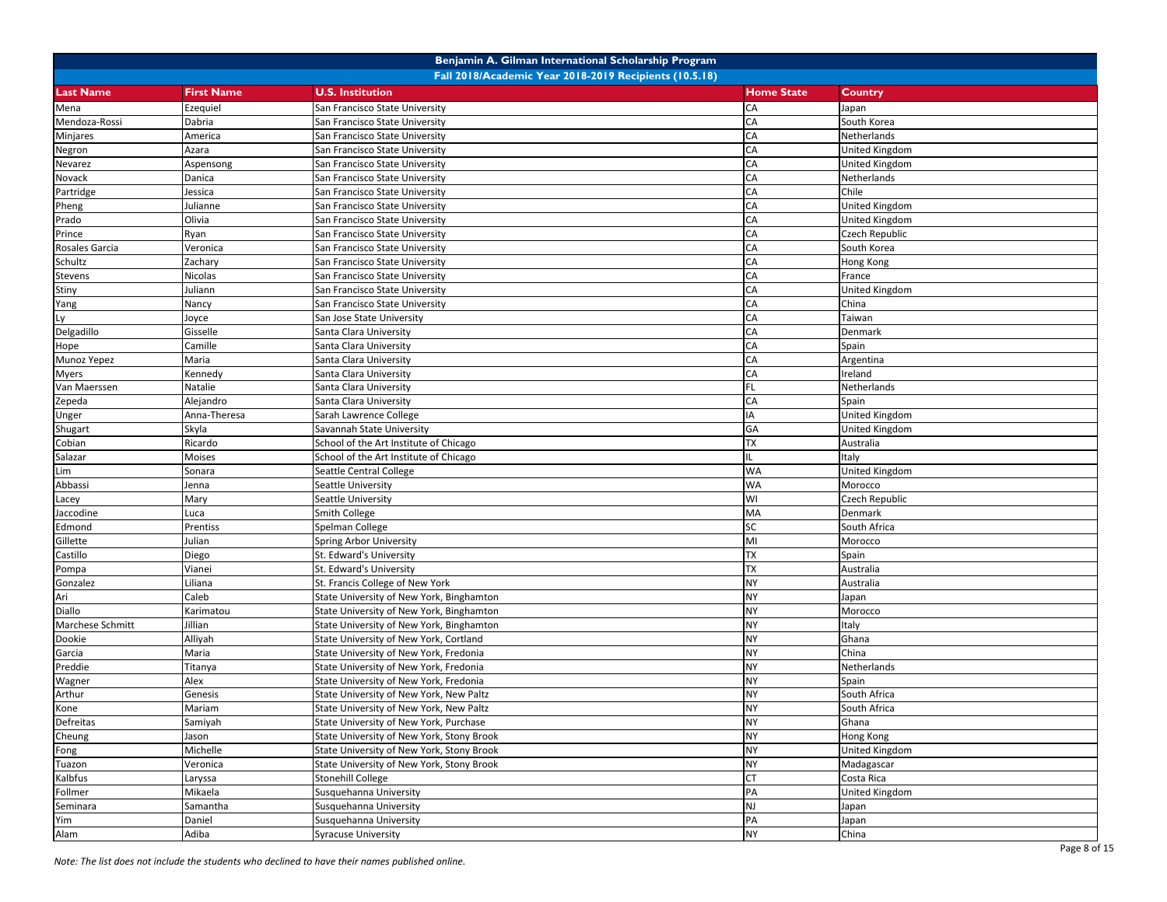|                  |                   | Benjamin A. Gilman International Scholarship Program   |                   |                       |
|------------------|-------------------|--------------------------------------------------------|-------------------|-----------------------|
|                  |                   | Fall 2018/Academic Year 2018-2019 Recipients (10.5.18) |                   |                       |
| <b>Last Name</b> | <b>First Name</b> | <b>U.S. Institution</b>                                | <b>Home State</b> | Country               |
| Mena             | Ezequiel          | San Francisco State University                         | CA                | Japan                 |
| Mendoza-Rossi    | Dabria            | San Francisco State University                         | CA                | South Korea           |
| Minjares         | America           | San Francisco State University                         | CA                | Netherlands           |
| Negron           | Azara             | San Francisco State University                         | CA                | <b>United Kingdom</b> |
| Nevarez          | Aspensong         | San Francisco State University                         | CA                | United Kingdom        |
| Novack           | Danica            | San Francisco State University                         | CA                | Netherlands           |
| Partridge        | Jessica           | San Francisco State University                         | CA                | Chile                 |
| Pheng            | Julianne          | San Francisco State University                         | CA                | <b>United Kingdom</b> |
| Prado            | Olivia            | San Francisco State University                         | CA                | <b>United Kingdom</b> |
| Prince           | Ryan              | San Francisco State University                         | CA                | <b>Czech Republic</b> |
| Rosales Garcia   | Veronica          | San Francisco State University                         | CA                | South Korea           |
| Schultz          | Zachary           | San Francisco State University                         | CA                | Hong Kong             |
| Stevens          | Nicolas           | San Francisco State University                         | CA                | France                |
| Stiny            | Juliann           | San Francisco State University                         | CA                | <b>United Kingdom</b> |
| Yang             | Nancy             | San Francisco State University                         | CA                | China                 |
| Ly               | Joyce             | San Jose State University                              | CA                | Taiwan                |
| Delgadillo       | Gisselle          | Santa Clara University                                 | CA                | Denmark               |
| Hope             | Camille           | Santa Clara University                                 | CA                | Spain                 |
| Munoz Yepez      | Maria             | Santa Clara University                                 | CA                | Argentina             |
| Myers            | Kennedy           | Santa Clara University                                 | CA                | Ireland               |
| Van Maerssen     | Natalie           | Santa Clara University                                 | FL.               | Netherlands           |
| Zepeda           | Alejandro         | Santa Clara University                                 | CA                | Spain                 |
| Unger            | Anna-Theresa      | Sarah Lawrence College                                 | IA                | <b>United Kingdom</b> |
| Shugart          | Skyla             | Savannah State University                              | GA                | <b>United Kingdom</b> |
| Cobian           | Ricardo           | School of the Art Institute of Chicago                 | TX                | Australia             |
| Salazar          | Moises            | School of the Art Institute of Chicago                 | IL.               | Italy                 |
| Lim              | Sonara            | Seattle Central College                                | <b>WA</b>         | United Kingdom        |
| Abbassi          | Jenna             | Seattle University                                     | WA                | Morocco               |
| Lacey            | Mary              | Seattle University                                     | WI                | <b>Czech Republic</b> |
| Jaccodine        | Luca              | Smith College                                          | MA                | Denmark               |
| Edmond           | Prentiss          | Spelman College                                        | SC                | South Africa          |
| Gillette         | Julian            | <b>Spring Arbor University</b>                         | MI                | Morocco               |
| Castillo         | Diego             | St. Edward's University                                | <b>TX</b>         | Spain                 |
| Pompa            | Vianei            | St. Edward's University                                | <b>TX</b>         | Australia             |
| Gonzalez         | Liliana           | St. Francis College of New York                        | <b>NY</b>         | Australia             |
| Ari              | Caleb             | State University of New York, Binghamton               | <b>NY</b>         | Japan                 |
| Diallo           | Karimatou         | State University of New York, Binghamton               | <b>NY</b>         | Morocco               |
| Marchese Schmitt | Jillian           | State University of New York, Binghamton               | <b>NY</b>         | Italy                 |
| Dookie           | Alliyah           | State University of New York, Cortland                 | <b>NY</b>         | Ghana                 |
| Garcia           | Maria             | State University of New York, Fredonia                 | <b>NY</b>         | China                 |
| Preddie          | Titanya           | State University of New York, Fredonia                 | <b>NY</b>         | Netherlands           |
| Wagner           | Alex              | State University of New York, Fredonia                 | <b>NY</b>         | Spain                 |
| Arthur           | Genesis           | State University of New York, New Paltz                | <b>NY</b>         | South Africa          |
| Kone             | Mariam            | State University of New York, New Paltz                | <b>NY</b>         | South Africa          |
| Defreitas        | Samiyah           | State University of New York, Purchase                 | NY                | Ghana                 |
| Cheung           | Jason             | State University of New York, Stony Brook              | <b>NY</b>         | Hong Kong             |
| Fong             | Michelle          | State University of New York, Stony Brook              | <b>NY</b>         | <b>United Kingdom</b> |
| Tuazon           | Veronica          | State University of New York, Stony Brook              | <b>NY</b>         | Madagascar            |
| Kalbfus          | Laryssa           | <b>Stonehill College</b>                               | <b>CT</b>         | Costa Rica            |
| Follmer          | Mikaela           | Susquehanna University                                 | PA                | United Kingdom        |
| Seminara         | Samantha          | Susquehanna University                                 | NJ                | Japan                 |
| Yim              | Daniel            | Susquehanna University                                 | PA                | Japan                 |
| Alam             | Adiba             | <b>Syracuse University</b>                             | NY                | China                 |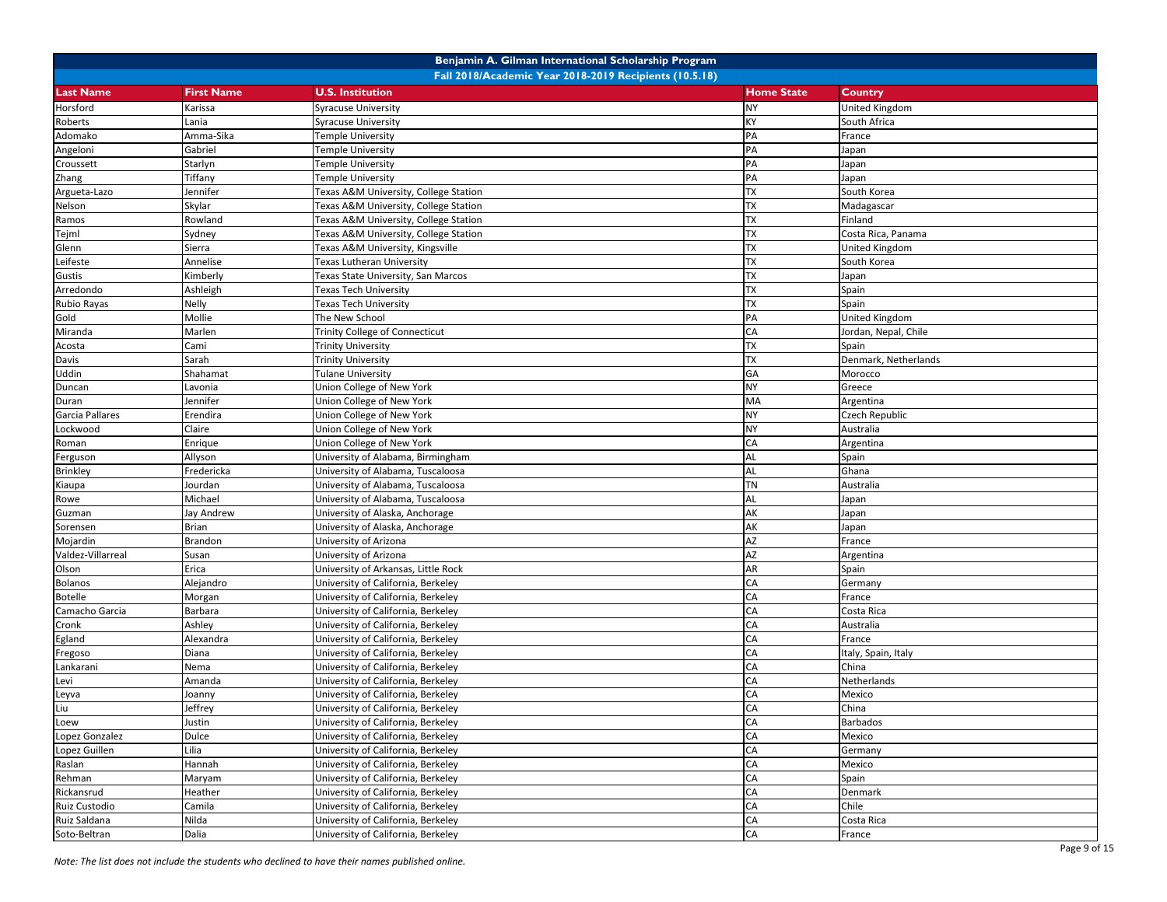|                   |                   | Benjamin A. Gilman International Scholarship Program   |                   |                      |
|-------------------|-------------------|--------------------------------------------------------|-------------------|----------------------|
|                   |                   | Fall 2018/Academic Year 2018-2019 Recipients (10.5.18) |                   |                      |
| <b>Last Name</b>  | <b>First Name</b> | <b>U.S. Institution</b>                                | <b>Home State</b> | <b>Country</b>       |
| Horsford          | Karissa           | <b>Syracuse University</b>                             | <b>NY</b>         | United Kingdom       |
| Roberts           | .ania             | <b>Syracuse University</b>                             | KΥ                | South Africa         |
| Adomako           | Amma-Sika         | <b>Temple University</b>                               | PA                | France               |
| Angeloni          | Gabriel           | Temple University                                      | PA                | Japan                |
| Croussett         | Starlyn           | <b>Temple University</b>                               | PA                | Japan                |
| Zhang             | Tiffany           | Temple University                                      | PA                | Japan                |
| Argueta-Lazo      | Jennifer          | Texas A&M University, College Station                  | ТX                | South Korea          |
| Nelson            | Skylar            | Texas A&M University, College Station                  | TX                | Madagascar           |
| Ramos             | Rowland           | Texas A&M University, College Station                  | TX                | Finland              |
| Tejml             | Sydney            | Texas A&M University, College Station                  | <b>TX</b>         | Costa Rica, Panama   |
| Glenn             | Sierra            | Texas A&M University, Kingsville                       | <b>TX</b>         | United Kingdom       |
| Leifeste          | Annelise          | <b>Texas Lutheran University</b>                       | TX                | South Korea          |
| Gustis            | Kimberly          | Texas State University, San Marcos                     | <b>TX</b>         | Japan                |
| Arredondo         | Ashleigh          | Texas Tech University                                  | ТX                | Spain                |
| Rubio Rayas       | Nelly             | <b>Texas Tech University</b>                           | TX                | Spain                |
| Gold              | Mollie            | The New School                                         | PA                | United Kingdom       |
| Miranda           | Marlen            | Trinity College of Connecticut                         | CA                | Jordan, Nepal, Chile |
| Acosta            | Cami              | <b>Trinity University</b>                              | TX                | Spain                |
| Davis             | Sarah             | <b>Trinity University</b>                              | ТX                | Denmark, Netherlands |
| <b>Uddin</b>      | Shahamat          | <b>Tulane University</b>                               | GA                | Morocco              |
| Duncan            | Lavonia           | Union College of New York                              | NY                | Greece               |
| Duran             | Jennifer          | Union College of New York                              | MA                | Argentina            |
| Garcia Pallares   | Erendira          | Union College of New York                              | <b>NY</b>         | Czech Republic       |
| Lockwood          | Claire            | Union College of New York                              | <b>NY</b>         | Australia            |
| Roman             | Enrique           | Union College of New York                              | CA                | Argentina            |
| Ferguson          | Allyson           | University of Alabama, Birmingham                      | AL                | Spain                |
| <b>Brinkley</b>   | Fredericka        | University of Alabama, Tuscaloosa                      | AL                | Ghana                |
| Kiaupa            | Jourdan           | University of Alabama, Tuscaloosa                      | <b>TN</b>         | Australia            |
| Rowe              | Michael           | University of Alabama, Tuscaloosa                      | <b>AL</b>         | Japan                |
| Guzman            | Jay Andrew        | University of Alaska, Anchorage                        | AK                | Japan                |
| Sorensen          | Brian             | University of Alaska, Anchorage                        | AK                | Japan                |
| Mojardin          | Brandon           | University of Arizona                                  | AZ                | France               |
| Valdez-Villarreal | Susan             | University of Arizona                                  | AZ                | Argentina            |
| Olson             | Erica             | University of Arkansas, Little Rock                    | AR                | Spain                |
| <b>Bolanos</b>    | Alejandro         | University of California, Berkeley                     | CA                | Germany              |
| <b>Botelle</b>    | Morgan            | University of California, Berkeley                     | CA                | France               |
| Camacho Garcia    | Barbara           | University of California, Berkeley                     | CA                | Costa Rica           |
| Cronk             | Ashley            | University of California, Berkeley                     | CA                | Australia            |
| Egland            | Alexandra         | University of California, Berkeley                     | CA                | France               |
| Fregoso           | Diana             | University of California, Berkeley                     | CA                | Italy, Spain, Italy  |
| Lankarani         | Nema              | University of California, Berkeley                     | CA                | China                |
| Levi              | Amanda            | University of California, Berkeley                     | CA                | Netherlands          |
| Leyva             | Joanny            | University of California, Berkeley                     | CA                | Mexico               |
| Liu               | Jeffrey           | University of California, Berkeley                     | CA                | China                |
| Loew              | Justin            | University of California, Berkeley                     | CA                | <b>Barbados</b>      |
| Lopez Gonzalez    | Dulce             | University of California, Berkeley                     | CA                | Mexico               |
| Lopez Guillen     | Lilia             | University of California, Berkeley                     | CA                | Germany              |
| Raslan            | Hannah            | University of California, Berkeley                     | CA                | Mexico               |
| Rehman            | Maryam            | University of California, Berkeley                     | CA                | Spain                |
| Rickansrud        | Heather           | University of California, Berkeley                     | CA                | Denmark              |
| Ruiz Custodio     | Camila            | University of California, Berkeley                     | CA                | Chile                |
| Ruiz Saldana      | Nilda             | University of California, Berkeley                     | CA                | Costa Rica           |
| Soto-Beltran      | Dalia             | University of California, Berkeley                     | CA                | France               |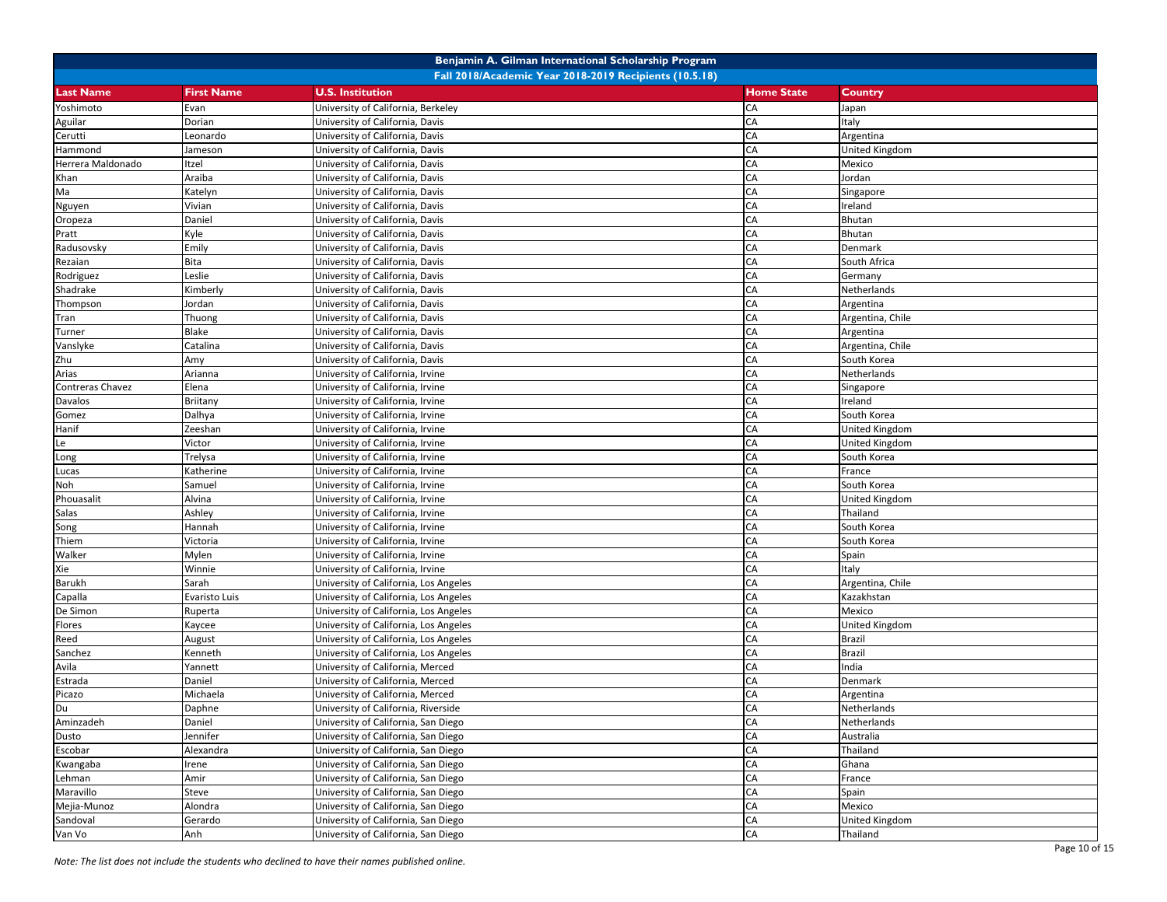|                   |                   | Benjamin A. Gilman International Scholarship Program   |                   |                  |
|-------------------|-------------------|--------------------------------------------------------|-------------------|------------------|
|                   |                   | Fall 2018/Academic Year 2018-2019 Recipients (10.5.18) |                   |                  |
| <b>Last Name</b>  | <b>First Name</b> | <b>U.S. Institution</b>                                | <b>Home State</b> | Country          |
| Yoshimoto         | Evan              | University of California, Berkeley                     | CA                | Japan            |
| Aguilar           | Dorian            | University of California, Davis                        | CA                | Italy            |
| Cerutti           | Leonardo          | University of California, Davis                        | CA                | Argentina        |
| Hammond           | Jameson           | University of California, Davis                        | CA                | United Kingdom   |
| Herrera Maldonado | Itzel             | University of California, Davis                        | CA                | Mexico           |
| Khan              | Araiba            | University of California, Davis                        | CA                | Jordan           |
| Ma                | Katelyn           | University of California, Davis                        | CA                | Singapore        |
| Nguyen            | Vivian            | University of California, Davis                        | CA                | Ireland          |
| Oropeza           | Daniel            | University of California, Davis                        | CA                | Bhutan           |
| Pratt             | Kyle              | University of California, Davis                        | CA                | Bhutan           |
| Radusovsky        | Emily             | University of California, Davis                        | CA                | Denmark          |
| Rezaian           | Bita              | University of California, Davis                        | CA                | South Africa     |
| Rodriguez         | Leslie            | University of California, Davis                        | CA                | Germany          |
| Shadrake          | Kimberly          | University of California, Davis                        | CA                | Netherlands      |
| Thompson          | Jordan            | University of California, Davis                        | CA                | Argentina        |
| Tran              | Thuong            | University of California, Davis                        | CA                | Argentina, Chile |
| Turner            | Blake             | University of California, Davis                        | CA                | Argentina        |
| Vanslyke          | Catalina          | University of California, Davis                        | CA                | Argentina, Chile |
| Zhu               | Amy               | University of California, Davis                        | CA                | South Korea      |
| Arias             | Arianna           | University of California, Irvine                       | CA                | Netherlands      |
| Contreras Chavez  | Elena             | University of California, Irvine                       | CA                | Singapore        |
| Davalos           | Briitany          | University of California, Irvine                       | CA                | reland           |
| Gomez             | Dalhya            | University of California, Irvine                       | CA                | South Korea      |
| Hanif             | Zeeshan           | University of California, Irvine                       | CA                | United Kingdom   |
| Le                | Victor            | University of California, Irvine                       | CA                | United Kingdom   |
| Long              | Trelysa           | University of California, Irvine                       | CA                | South Korea      |
| Lucas             | Katherine         | University of California, Irvine                       | CA                | France           |
| Noh               | Samuel            | University of California, Irvine                       | CA                | South Korea      |
| Phouasalit        | Alvina            | University of California, Irvine                       | CA                | United Kingdom   |
| Salas             | Ashley            | University of California, Irvine                       | CA                | Thailand         |
| Song              | Hannah            | University of California, Irvine                       | CA                | South Korea      |
| Thiem             | Victoria          | University of California, Irvine                       | CA                | South Korea      |
| Walker            | Mylen             | University of California, Irvine                       | CA                | Spain            |
| Xie               | Winnie            | University of California, Irvine                       | CA                | taly             |
| Barukh            | Sarah             | University of California, Los Angeles                  | CA                | Argentina, Chile |
| Capalla           | Evaristo Luis     | University of California, Los Angeles                  | CA                | Kazakhstan       |
| De Simon          | Ruperta           | University of California, Los Angeles                  | CA                | Mexico           |
| Flores            | Kaycee            | University of California, Los Angeles                  | CA                | United Kingdom   |
| Reed              | August            | University of California, Los Angeles                  | CA                | <b>Brazil</b>    |
| Sanchez           | Kenneth           | University of California, Los Angeles                  | CA                | <b>Brazil</b>    |
| Avila             | Yannett           | University of California, Merced                       | CA                | ndia             |
| Estrada           | Daniel            | University of California, Merced                       | CA                | Denmark          |
| Picazo            | Michaela          | University of California, Merced                       | CA                | Argentina        |
| Du                | Daphne            | University of California, Riverside                    | CA                | Netherlands      |
| Aminzadeh         | Daniel            | University of California, San Diego                    | CA                | Netherlands      |
| Dusto             | Jennifer          | University of California, San Diego                    | CA                | Australia        |
| Escobar           | Alexandra         | University of California, San Diego                    | CA                | Thailand         |
| Kwangaba          | Irene             | University of California, San Diego                    | CA                | Ghana            |
| Lehman            | Amir              | University of California, San Diego                    | CA                | France           |
| Maravillo         | Steve             | University of California, San Diego                    | CA                | Spain            |
| Mejia-Munoz       | Alondra           | University of California, San Diego                    | CA                | Mexico           |
| Sandoval          | Gerardo           | University of California, San Diego                    | CA                | United Kingdom   |
| Van Vo            | Anh               | University of California, San Diego                    | CA                | Thailand         |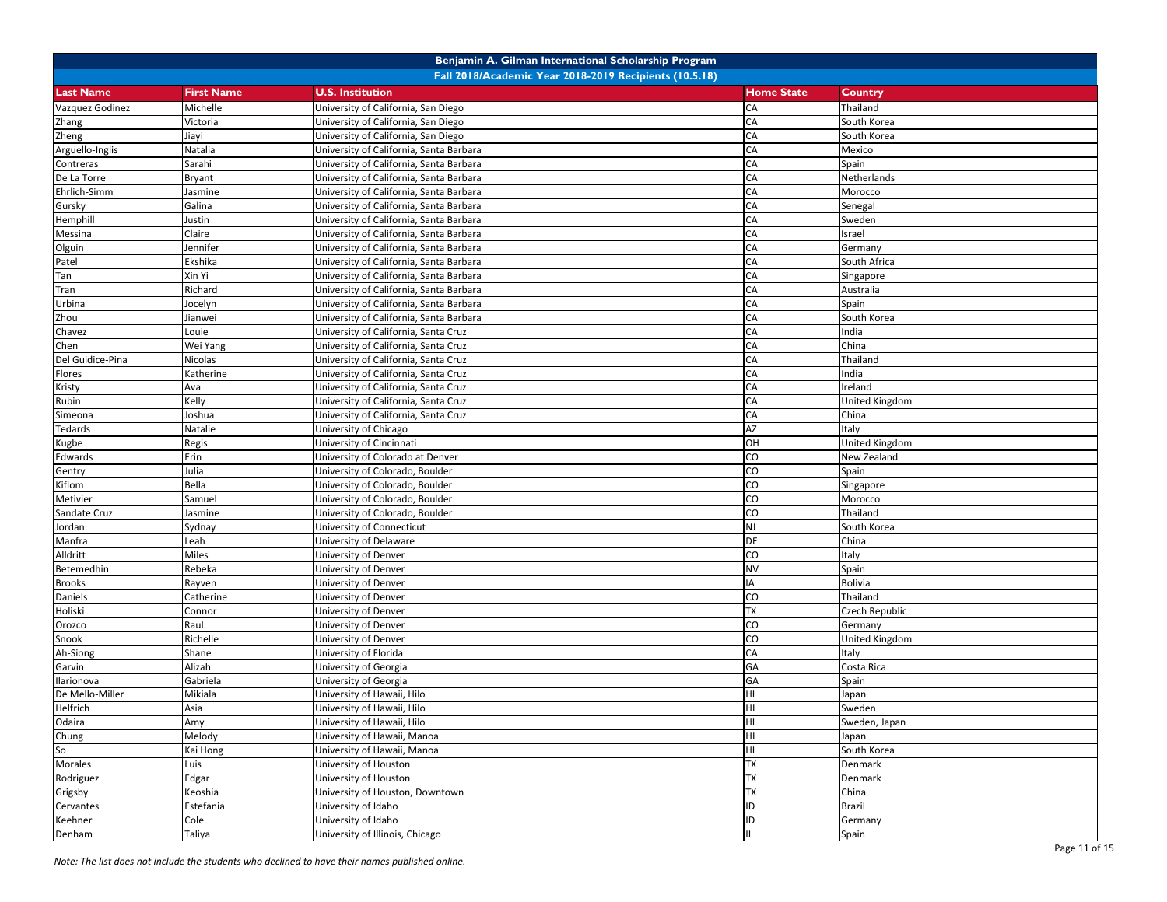|                  | Benjamin A. Gilman International Scholarship Program   |                                         |                   |                |  |  |
|------------------|--------------------------------------------------------|-----------------------------------------|-------------------|----------------|--|--|
|                  | Fall 2018/Academic Year 2018-2019 Recipients (10.5.18) |                                         |                   |                |  |  |
| <b>Last Name</b> | <b>First Name</b>                                      | <b>U.S. Institution</b>                 | <b>Home State</b> | Country        |  |  |
| Vazquez Godinez  | Michelle                                               | University of California, San Diego     | CA                | Thailand       |  |  |
| Zhang            | Victoria                                               | University of California, San Diego     | CA                | South Korea    |  |  |
| Zheng            | Jiayi                                                  | University of California, San Diego     | CA                | South Korea    |  |  |
| Arguello-Inglis  | Natalia                                                | University of California, Santa Barbara | CA                | Mexico         |  |  |
| Contreras        | Sarahi                                                 | University of California, Santa Barbara | CA                | Spain          |  |  |
| De La Torre      | Bryant                                                 | University of California, Santa Barbara | CA                | Netherlands    |  |  |
| Ehrlich-Simm     | Jasmine                                                | University of California, Santa Barbara | CA                | Morocco        |  |  |
| Gursky           | Galina                                                 | University of California, Santa Barbara | CA                | Senegal        |  |  |
| Hemphill         | Justin                                                 | University of California, Santa Barbara | CA                | Sweden         |  |  |
| Messina          | Claire                                                 | University of California, Santa Barbara | CA                | srael          |  |  |
| Olguin           | Jennifer                                               | University of California, Santa Barbara | CA                | Germany        |  |  |
| Patel            | Ekshika                                                | University of California, Santa Barbara | CA                | South Africa   |  |  |
| Tan              | Xin Yi                                                 | University of California, Santa Barbara | CA                | Singapore      |  |  |
| Tran             | Richard                                                | University of California, Santa Barbara | CA                | Australia      |  |  |
| Urbina           | Jocelyn                                                | University of California, Santa Barbara | CA                | Spain          |  |  |
| Zhou             | Jianwei                                                | University of California, Santa Barbara | CA                | South Korea    |  |  |
| Chavez           | Louie                                                  | University of California, Santa Cruz    | CA                | India          |  |  |
| Chen             | Wei Yang                                               | University of California, Santa Cruz    | CA                | China          |  |  |
| Del Guidice-Pina | Nicolas                                                | University of California, Santa Cruz    | CA                | Thailand       |  |  |
| Flores           | Katherine                                              | University of California, Santa Cruz    | CA                | India          |  |  |
| Kristy           | Ava                                                    | University of California, Santa Cruz    | CA                | reland         |  |  |
| Rubin            | Kelly                                                  | University of California, Santa Cruz    | CA                | United Kingdom |  |  |
| Simeona          | Joshua                                                 | University of California, Santa Cruz    | CA                | China          |  |  |
| Tedards          | Natalie                                                | University of Chicago                   | AZ                | Italy          |  |  |
| Kugbe            | Regis                                                  | University of Cincinnati                | OH                | United Kingdom |  |  |
| Edwards          | Erin                                                   | University of Colorado at Denver        | CO                | New Zealand    |  |  |
| Gentry           | Julia                                                  | University of Colorado, Boulder         | CO                | Spain          |  |  |
| Kiflom           | Bella                                                  | University of Colorado, Boulder         | CO                | Singapore      |  |  |
| Metivier         | Samuel                                                 | University of Colorado, Boulder         | CO                | Morocco        |  |  |
| Sandate Cruz     | Jasmine                                                | University of Colorado, Boulder         | CO                | Thailand       |  |  |
| Jordan           | Sydnay                                                 | University of Connecticut               | <b>NJ</b>         | South Korea    |  |  |
| Manfra           | Leah                                                   | University of Delaware                  | DE                | China          |  |  |
| Alldritt         | Miles                                                  | University of Denver                    | CO                | taly           |  |  |
| Betemedhin       | Rebeka                                                 | University of Denver                    | <b>NV</b>         | Spain          |  |  |
| <b>Brooks</b>    | Rayven                                                 | University of Denver                    | IA                | <b>Bolivia</b> |  |  |
| Daniels          | Catherine                                              | University of Denver                    | CO                | Thailand       |  |  |
| Holiski          | Connor                                                 | University of Denver                    | TX                | Czech Republic |  |  |
| Orozco           | Raul                                                   | University of Denver                    | CO                | Germany        |  |  |
| Snook            | Richelle                                               | University of Denver                    | CO                | United Kingdom |  |  |
| Ah-Siong         | Shane                                                  | University of Florida                   | CA                | taly           |  |  |
| Garvin           | Alizah                                                 | University of Georgia                   | GA                | Costa Rica     |  |  |
| Ilarionova       | Gabriela                                               | University of Georgia                   | GA                | Spain          |  |  |
| De Mello-Miller  | Mikiala                                                | University of Hawaii, Hilo              | HI                | Japan          |  |  |
| Helfrich         | Asia                                                   | University of Hawaii, Hilo              | lнı               | Sweden         |  |  |
| Odaira           | Amy                                                    | University of Hawaii, Hilo              | HI                | Sweden, Japan  |  |  |
| Chung            | Melody                                                 | University of Hawaii, Manoa             | HI                | Japan          |  |  |
| So               | Kai Hong                                               | University of Hawaii, Manoa             | HI                | South Korea    |  |  |
| Morales          | Luis                                                   | University of Houston                   | <b>TX</b>         | Denmark        |  |  |
| Rodriguez        | Edgar                                                  | University of Houston                   | <b>TX</b>         | Denmark        |  |  |
| Grigsby          | Keoshia                                                | University of Houston, Downtown         | TX                | China          |  |  |
| Cervantes        | Estefania                                              | University of Idaho                     | ID                | <b>Brazil</b>  |  |  |
| Keehner          | Cole                                                   | University of Idaho                     | ID                | Germany        |  |  |
| Denham           | Taliya                                                 | University of Illinois, Chicago         |                   | Spain          |  |  |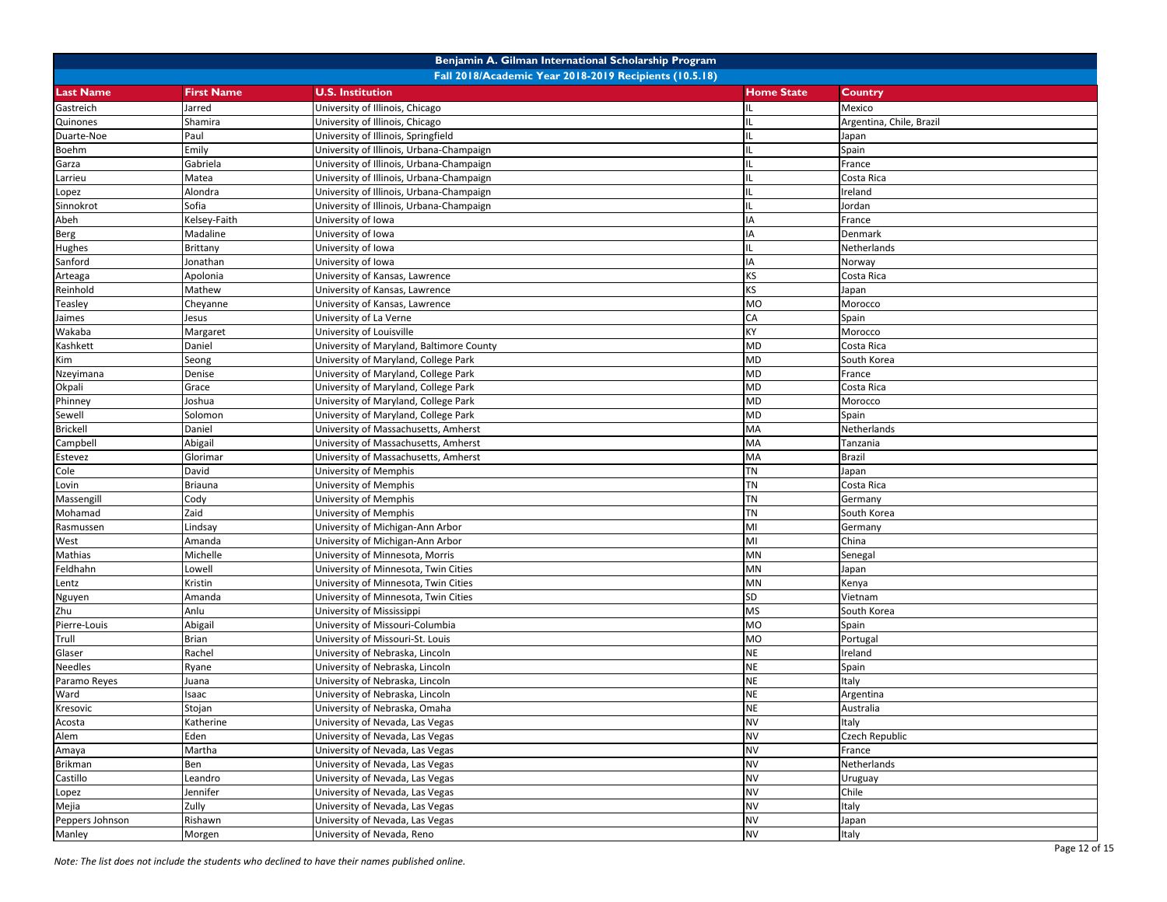| Fall 2018/Academic Year 2018-2019 Recipients (10.5.18)<br><b>Last Name</b><br><b>First Name</b><br><b>U.S. Institution</b><br><b>Home State</b><br><b>Country</b><br>Gastreich<br>University of Illinois, Chicago<br>Mexico<br>Jarred<br>University of Illinois, Chicago<br>Argentina, Chile, Brazil<br>Quinones<br>Shamira<br>University of Illinois, Springfield<br>Duarte-Noe<br>Paul<br>Japan<br>Emily<br>University of Illinois, Urbana-Champaign<br>IL<br>Spain<br>Boehm<br>France<br>Gabriela<br>University of Illinois, Urbana-Champaign<br>Garza<br>University of Illinois, Urbana-Champaign<br>Matea<br>IL<br>Costa Rica<br>Larrieu<br>reland<br>Alondra<br>University of Illinois, Urbana-Champaign<br>Lopez<br>Sofia<br>Sinnokrot<br>University of Illinois, Urbana-Champaign<br>Jordan<br>IA<br>Kelsey-Faith<br>University of Iowa<br>France<br>Abeh<br>Madaline<br><b>IA</b><br>Denmark<br>University of Iowa<br>Berg<br>Brittany<br>University of Iowa<br>Netherlands<br>Hughes<br>IA<br>Sanford<br>Jonathan<br>University of Iowa<br>Norway<br>KS<br>Apolonia<br>University of Kansas, Lawrence<br>Costa Rica<br>Arteaga<br>KS<br>Reinhold<br>Mathew<br>University of Kansas, Lawrence<br>Japan<br>MO<br>Teasley<br>Morocco<br>Cheyanne<br>University of Kansas, Lawrence<br>CA<br>University of La Verne<br>Spain<br>Jaimes<br>Jesus<br>KY<br>Morocco<br>Wakaba<br>University of Louisville<br>Margaret<br><b>MD</b><br>Kashkett<br>Daniel<br>University of Maryland, Baltimore County<br>Costa Rica<br><b>MD</b><br>Seong<br>University of Maryland, College Park<br>South Korea<br>Kim<br>MD<br>Denise<br>University of Maryland, College Park<br>France<br>Nzeyimana<br>MD<br>Okpali<br>University of Maryland, College Park<br>Costa Rica<br>Grace<br>MD<br>Phinney<br>Joshua<br>University of Maryland, College Park<br>Morocco<br>MD<br>Sewell<br>Solomon<br>University of Maryland, College Park<br>Spain<br>MA<br><b>Brickell</b><br>Netherlands<br>Daniel<br>University of Massachusetts, Amherst<br>MA<br>Campbell<br>Abigail<br>University of Massachusetts, Amherst<br>Tanzania<br>MA<br><b>Brazil</b><br>Glorimar<br>University of Massachusetts, Amherst<br>Estevez<br><b>TN</b><br>Cole<br>David<br>University of Memphis<br>Japan<br>TN<br>Briauna<br>University of Memphis<br>Costa Rica<br>Lovin<br><b>TN</b><br>Massengill<br>Cody<br>University of Memphis<br>Germany<br><b>TN</b><br>Mohamad<br>Zaid<br>University of Memphis<br>South Korea<br>MI<br>Lindsay<br>University of Michigan-Ann Arbor<br>Germany<br>Rasmussen<br>MI<br>China<br>West<br>Amanda<br>University of Michigan-Ann Arbor<br>University of Minnesota, Morris<br>MN<br>Michelle<br>Mathias<br>Senegal<br>University of Minnesota, Twin Cities<br>MN<br>Feldhahn<br>Lowell<br>Japan<br>MN<br>Kristin<br>University of Minnesota, Twin Cities<br>Kenya<br>Lentz<br>SD<br>University of Minnesota, Twin Cities<br>Vietnam<br>Nguyen<br>Amanda<br><b>MS</b><br>Zhu<br>Anlu<br>University of Mississippi<br>South Korea<br>University of Missouri-Columbia<br><b>MO</b><br>Pierre-Louis<br>Abigail<br>Spain<br>Trull<br>MO<br>Brian<br>University of Missouri-St. Louis<br>Portugal<br><b>NE</b><br>Glaser<br>Rachel<br>University of Nebraska, Lincoln<br>reland<br><b>NE</b><br><b>Needles</b><br>University of Nebraska, Lincoln<br>Spain<br>Ryane<br><b>NE</b><br>taly<br>Paramo Reyes<br>University of Nebraska, Lincoln<br>Juana<br><b>NE</b><br>Ward<br>Isaac<br>University of Nebraska, Lincoln<br>Argentina<br><b>NE</b><br>Kresovic<br>Stojan<br>University of Nebraska, Omaha<br>Australia<br>University of Nevada, Las Vegas<br><b>NV</b><br>Italy<br>Acosta<br>Katherine<br>Alem<br><b>NV</b><br>Eden<br>University of Nevada, Las Vegas<br>Czech Republic<br><b>NV</b><br>University of Nevada, Las Vegas<br>Martha<br>France<br>Amaya<br><b>NV</b><br>Netherlands<br>Ben<br>University of Nevada, Las Vegas<br><b>Brikman</b><br><b>NV</b><br>University of Nevada, Las Vegas<br>Castillo<br>Leandro<br>Uruguay<br><b>NV</b><br>University of Nevada, Las Vegas<br>Chile<br>Jennifer<br>Lopez<br><b>NV</b><br>Mejia<br>Zully<br>Italy<br>University of Nevada, Las Vegas<br><b>NV</b><br>Peppers Johnson<br>Rishawn<br>University of Nevada, Las Vegas<br>Japan |        |        | Benjamin A. Gilman International Scholarship Program |           |       |
|-------------------------------------------------------------------------------------------------------------------------------------------------------------------------------------------------------------------------------------------------------------------------------------------------------------------------------------------------------------------------------------------------------------------------------------------------------------------------------------------------------------------------------------------------------------------------------------------------------------------------------------------------------------------------------------------------------------------------------------------------------------------------------------------------------------------------------------------------------------------------------------------------------------------------------------------------------------------------------------------------------------------------------------------------------------------------------------------------------------------------------------------------------------------------------------------------------------------------------------------------------------------------------------------------------------------------------------------------------------------------------------------------------------------------------------------------------------------------------------------------------------------------------------------------------------------------------------------------------------------------------------------------------------------------------------------------------------------------------------------------------------------------------------------------------------------------------------------------------------------------------------------------------------------------------------------------------------------------------------------------------------------------------------------------------------------------------------------------------------------------------------------------------------------------------------------------------------------------------------------------------------------------------------------------------------------------------------------------------------------------------------------------------------------------------------------------------------------------------------------------------------------------------------------------------------------------------------------------------------------------------------------------------------------------------------------------------------------------------------------------------------------------------------------------------------------------------------------------------------------------------------------------------------------------------------------------------------------------------------------------------------------------------------------------------------------------------------------------------------------------------------------------------------------------------------------------------------------------------------------------------------------------------------------------------------------------------------------------------------------------------------------------------------------------------------------------------------------------------------------------------------------------------------------------------------------------------------------------------------------------------------------------------------------------------------------------------------------------------------------------------------------------------------------------------------------------------------------------------------------------------------------------------------------------------------------------------------------------------------------------------------------------------------------------------------------------------------------------------------------------------------------------------------------------------------------------------------------------------------------------------------------------------------|--------|--------|------------------------------------------------------|-----------|-------|
|                                                                                                                                                                                                                                                                                                                                                                                                                                                                                                                                                                                                                                                                                                                                                                                                                                                                                                                                                                                                                                                                                                                                                                                                                                                                                                                                                                                                                                                                                                                                                                                                                                                                                                                                                                                                                                                                                                                                                                                                                                                                                                                                                                                                                                                                                                                                                                                                                                                                                                                                                                                                                                                                                                                                                                                                                                                                                                                                                                                                                                                                                                                                                                                                                                                                                                                                                                                                                                                                                                                                                                                                                                                                                                                                                                                                                                                                                                                                                                                                                                                                                                                                                                                                                                                                                     |        |        |                                                      |           |       |
|                                                                                                                                                                                                                                                                                                                                                                                                                                                                                                                                                                                                                                                                                                                                                                                                                                                                                                                                                                                                                                                                                                                                                                                                                                                                                                                                                                                                                                                                                                                                                                                                                                                                                                                                                                                                                                                                                                                                                                                                                                                                                                                                                                                                                                                                                                                                                                                                                                                                                                                                                                                                                                                                                                                                                                                                                                                                                                                                                                                                                                                                                                                                                                                                                                                                                                                                                                                                                                                                                                                                                                                                                                                                                                                                                                                                                                                                                                                                                                                                                                                                                                                                                                                                                                                                                     |        |        |                                                      |           |       |
|                                                                                                                                                                                                                                                                                                                                                                                                                                                                                                                                                                                                                                                                                                                                                                                                                                                                                                                                                                                                                                                                                                                                                                                                                                                                                                                                                                                                                                                                                                                                                                                                                                                                                                                                                                                                                                                                                                                                                                                                                                                                                                                                                                                                                                                                                                                                                                                                                                                                                                                                                                                                                                                                                                                                                                                                                                                                                                                                                                                                                                                                                                                                                                                                                                                                                                                                                                                                                                                                                                                                                                                                                                                                                                                                                                                                                                                                                                                                                                                                                                                                                                                                                                                                                                                                                     |        |        |                                                      |           |       |
|                                                                                                                                                                                                                                                                                                                                                                                                                                                                                                                                                                                                                                                                                                                                                                                                                                                                                                                                                                                                                                                                                                                                                                                                                                                                                                                                                                                                                                                                                                                                                                                                                                                                                                                                                                                                                                                                                                                                                                                                                                                                                                                                                                                                                                                                                                                                                                                                                                                                                                                                                                                                                                                                                                                                                                                                                                                                                                                                                                                                                                                                                                                                                                                                                                                                                                                                                                                                                                                                                                                                                                                                                                                                                                                                                                                                                                                                                                                                                                                                                                                                                                                                                                                                                                                                                     |        |        |                                                      |           |       |
|                                                                                                                                                                                                                                                                                                                                                                                                                                                                                                                                                                                                                                                                                                                                                                                                                                                                                                                                                                                                                                                                                                                                                                                                                                                                                                                                                                                                                                                                                                                                                                                                                                                                                                                                                                                                                                                                                                                                                                                                                                                                                                                                                                                                                                                                                                                                                                                                                                                                                                                                                                                                                                                                                                                                                                                                                                                                                                                                                                                                                                                                                                                                                                                                                                                                                                                                                                                                                                                                                                                                                                                                                                                                                                                                                                                                                                                                                                                                                                                                                                                                                                                                                                                                                                                                                     |        |        |                                                      |           |       |
|                                                                                                                                                                                                                                                                                                                                                                                                                                                                                                                                                                                                                                                                                                                                                                                                                                                                                                                                                                                                                                                                                                                                                                                                                                                                                                                                                                                                                                                                                                                                                                                                                                                                                                                                                                                                                                                                                                                                                                                                                                                                                                                                                                                                                                                                                                                                                                                                                                                                                                                                                                                                                                                                                                                                                                                                                                                                                                                                                                                                                                                                                                                                                                                                                                                                                                                                                                                                                                                                                                                                                                                                                                                                                                                                                                                                                                                                                                                                                                                                                                                                                                                                                                                                                                                                                     |        |        |                                                      |           |       |
|                                                                                                                                                                                                                                                                                                                                                                                                                                                                                                                                                                                                                                                                                                                                                                                                                                                                                                                                                                                                                                                                                                                                                                                                                                                                                                                                                                                                                                                                                                                                                                                                                                                                                                                                                                                                                                                                                                                                                                                                                                                                                                                                                                                                                                                                                                                                                                                                                                                                                                                                                                                                                                                                                                                                                                                                                                                                                                                                                                                                                                                                                                                                                                                                                                                                                                                                                                                                                                                                                                                                                                                                                                                                                                                                                                                                                                                                                                                                                                                                                                                                                                                                                                                                                                                                                     |        |        |                                                      |           |       |
|                                                                                                                                                                                                                                                                                                                                                                                                                                                                                                                                                                                                                                                                                                                                                                                                                                                                                                                                                                                                                                                                                                                                                                                                                                                                                                                                                                                                                                                                                                                                                                                                                                                                                                                                                                                                                                                                                                                                                                                                                                                                                                                                                                                                                                                                                                                                                                                                                                                                                                                                                                                                                                                                                                                                                                                                                                                                                                                                                                                                                                                                                                                                                                                                                                                                                                                                                                                                                                                                                                                                                                                                                                                                                                                                                                                                                                                                                                                                                                                                                                                                                                                                                                                                                                                                                     |        |        |                                                      |           |       |
|                                                                                                                                                                                                                                                                                                                                                                                                                                                                                                                                                                                                                                                                                                                                                                                                                                                                                                                                                                                                                                                                                                                                                                                                                                                                                                                                                                                                                                                                                                                                                                                                                                                                                                                                                                                                                                                                                                                                                                                                                                                                                                                                                                                                                                                                                                                                                                                                                                                                                                                                                                                                                                                                                                                                                                                                                                                                                                                                                                                                                                                                                                                                                                                                                                                                                                                                                                                                                                                                                                                                                                                                                                                                                                                                                                                                                                                                                                                                                                                                                                                                                                                                                                                                                                                                                     |        |        |                                                      |           |       |
|                                                                                                                                                                                                                                                                                                                                                                                                                                                                                                                                                                                                                                                                                                                                                                                                                                                                                                                                                                                                                                                                                                                                                                                                                                                                                                                                                                                                                                                                                                                                                                                                                                                                                                                                                                                                                                                                                                                                                                                                                                                                                                                                                                                                                                                                                                                                                                                                                                                                                                                                                                                                                                                                                                                                                                                                                                                                                                                                                                                                                                                                                                                                                                                                                                                                                                                                                                                                                                                                                                                                                                                                                                                                                                                                                                                                                                                                                                                                                                                                                                                                                                                                                                                                                                                                                     |        |        |                                                      |           |       |
|                                                                                                                                                                                                                                                                                                                                                                                                                                                                                                                                                                                                                                                                                                                                                                                                                                                                                                                                                                                                                                                                                                                                                                                                                                                                                                                                                                                                                                                                                                                                                                                                                                                                                                                                                                                                                                                                                                                                                                                                                                                                                                                                                                                                                                                                                                                                                                                                                                                                                                                                                                                                                                                                                                                                                                                                                                                                                                                                                                                                                                                                                                                                                                                                                                                                                                                                                                                                                                                                                                                                                                                                                                                                                                                                                                                                                                                                                                                                                                                                                                                                                                                                                                                                                                                                                     |        |        |                                                      |           |       |
|                                                                                                                                                                                                                                                                                                                                                                                                                                                                                                                                                                                                                                                                                                                                                                                                                                                                                                                                                                                                                                                                                                                                                                                                                                                                                                                                                                                                                                                                                                                                                                                                                                                                                                                                                                                                                                                                                                                                                                                                                                                                                                                                                                                                                                                                                                                                                                                                                                                                                                                                                                                                                                                                                                                                                                                                                                                                                                                                                                                                                                                                                                                                                                                                                                                                                                                                                                                                                                                                                                                                                                                                                                                                                                                                                                                                                                                                                                                                                                                                                                                                                                                                                                                                                                                                                     |        |        |                                                      |           |       |
|                                                                                                                                                                                                                                                                                                                                                                                                                                                                                                                                                                                                                                                                                                                                                                                                                                                                                                                                                                                                                                                                                                                                                                                                                                                                                                                                                                                                                                                                                                                                                                                                                                                                                                                                                                                                                                                                                                                                                                                                                                                                                                                                                                                                                                                                                                                                                                                                                                                                                                                                                                                                                                                                                                                                                                                                                                                                                                                                                                                                                                                                                                                                                                                                                                                                                                                                                                                                                                                                                                                                                                                                                                                                                                                                                                                                                                                                                                                                                                                                                                                                                                                                                                                                                                                                                     |        |        |                                                      |           |       |
|                                                                                                                                                                                                                                                                                                                                                                                                                                                                                                                                                                                                                                                                                                                                                                                                                                                                                                                                                                                                                                                                                                                                                                                                                                                                                                                                                                                                                                                                                                                                                                                                                                                                                                                                                                                                                                                                                                                                                                                                                                                                                                                                                                                                                                                                                                                                                                                                                                                                                                                                                                                                                                                                                                                                                                                                                                                                                                                                                                                                                                                                                                                                                                                                                                                                                                                                                                                                                                                                                                                                                                                                                                                                                                                                                                                                                                                                                                                                                                                                                                                                                                                                                                                                                                                                                     |        |        |                                                      |           |       |
|                                                                                                                                                                                                                                                                                                                                                                                                                                                                                                                                                                                                                                                                                                                                                                                                                                                                                                                                                                                                                                                                                                                                                                                                                                                                                                                                                                                                                                                                                                                                                                                                                                                                                                                                                                                                                                                                                                                                                                                                                                                                                                                                                                                                                                                                                                                                                                                                                                                                                                                                                                                                                                                                                                                                                                                                                                                                                                                                                                                                                                                                                                                                                                                                                                                                                                                                                                                                                                                                                                                                                                                                                                                                                                                                                                                                                                                                                                                                                                                                                                                                                                                                                                                                                                                                                     |        |        |                                                      |           |       |
|                                                                                                                                                                                                                                                                                                                                                                                                                                                                                                                                                                                                                                                                                                                                                                                                                                                                                                                                                                                                                                                                                                                                                                                                                                                                                                                                                                                                                                                                                                                                                                                                                                                                                                                                                                                                                                                                                                                                                                                                                                                                                                                                                                                                                                                                                                                                                                                                                                                                                                                                                                                                                                                                                                                                                                                                                                                                                                                                                                                                                                                                                                                                                                                                                                                                                                                                                                                                                                                                                                                                                                                                                                                                                                                                                                                                                                                                                                                                                                                                                                                                                                                                                                                                                                                                                     |        |        |                                                      |           |       |
|                                                                                                                                                                                                                                                                                                                                                                                                                                                                                                                                                                                                                                                                                                                                                                                                                                                                                                                                                                                                                                                                                                                                                                                                                                                                                                                                                                                                                                                                                                                                                                                                                                                                                                                                                                                                                                                                                                                                                                                                                                                                                                                                                                                                                                                                                                                                                                                                                                                                                                                                                                                                                                                                                                                                                                                                                                                                                                                                                                                                                                                                                                                                                                                                                                                                                                                                                                                                                                                                                                                                                                                                                                                                                                                                                                                                                                                                                                                                                                                                                                                                                                                                                                                                                                                                                     |        |        |                                                      |           |       |
|                                                                                                                                                                                                                                                                                                                                                                                                                                                                                                                                                                                                                                                                                                                                                                                                                                                                                                                                                                                                                                                                                                                                                                                                                                                                                                                                                                                                                                                                                                                                                                                                                                                                                                                                                                                                                                                                                                                                                                                                                                                                                                                                                                                                                                                                                                                                                                                                                                                                                                                                                                                                                                                                                                                                                                                                                                                                                                                                                                                                                                                                                                                                                                                                                                                                                                                                                                                                                                                                                                                                                                                                                                                                                                                                                                                                                                                                                                                                                                                                                                                                                                                                                                                                                                                                                     |        |        |                                                      |           |       |
|                                                                                                                                                                                                                                                                                                                                                                                                                                                                                                                                                                                                                                                                                                                                                                                                                                                                                                                                                                                                                                                                                                                                                                                                                                                                                                                                                                                                                                                                                                                                                                                                                                                                                                                                                                                                                                                                                                                                                                                                                                                                                                                                                                                                                                                                                                                                                                                                                                                                                                                                                                                                                                                                                                                                                                                                                                                                                                                                                                                                                                                                                                                                                                                                                                                                                                                                                                                                                                                                                                                                                                                                                                                                                                                                                                                                                                                                                                                                                                                                                                                                                                                                                                                                                                                                                     |        |        |                                                      |           |       |
|                                                                                                                                                                                                                                                                                                                                                                                                                                                                                                                                                                                                                                                                                                                                                                                                                                                                                                                                                                                                                                                                                                                                                                                                                                                                                                                                                                                                                                                                                                                                                                                                                                                                                                                                                                                                                                                                                                                                                                                                                                                                                                                                                                                                                                                                                                                                                                                                                                                                                                                                                                                                                                                                                                                                                                                                                                                                                                                                                                                                                                                                                                                                                                                                                                                                                                                                                                                                                                                                                                                                                                                                                                                                                                                                                                                                                                                                                                                                                                                                                                                                                                                                                                                                                                                                                     |        |        |                                                      |           |       |
|                                                                                                                                                                                                                                                                                                                                                                                                                                                                                                                                                                                                                                                                                                                                                                                                                                                                                                                                                                                                                                                                                                                                                                                                                                                                                                                                                                                                                                                                                                                                                                                                                                                                                                                                                                                                                                                                                                                                                                                                                                                                                                                                                                                                                                                                                                                                                                                                                                                                                                                                                                                                                                                                                                                                                                                                                                                                                                                                                                                                                                                                                                                                                                                                                                                                                                                                                                                                                                                                                                                                                                                                                                                                                                                                                                                                                                                                                                                                                                                                                                                                                                                                                                                                                                                                                     |        |        |                                                      |           |       |
|                                                                                                                                                                                                                                                                                                                                                                                                                                                                                                                                                                                                                                                                                                                                                                                                                                                                                                                                                                                                                                                                                                                                                                                                                                                                                                                                                                                                                                                                                                                                                                                                                                                                                                                                                                                                                                                                                                                                                                                                                                                                                                                                                                                                                                                                                                                                                                                                                                                                                                                                                                                                                                                                                                                                                                                                                                                                                                                                                                                                                                                                                                                                                                                                                                                                                                                                                                                                                                                                                                                                                                                                                                                                                                                                                                                                                                                                                                                                                                                                                                                                                                                                                                                                                                                                                     |        |        |                                                      |           |       |
|                                                                                                                                                                                                                                                                                                                                                                                                                                                                                                                                                                                                                                                                                                                                                                                                                                                                                                                                                                                                                                                                                                                                                                                                                                                                                                                                                                                                                                                                                                                                                                                                                                                                                                                                                                                                                                                                                                                                                                                                                                                                                                                                                                                                                                                                                                                                                                                                                                                                                                                                                                                                                                                                                                                                                                                                                                                                                                                                                                                                                                                                                                                                                                                                                                                                                                                                                                                                                                                                                                                                                                                                                                                                                                                                                                                                                                                                                                                                                                                                                                                                                                                                                                                                                                                                                     |        |        |                                                      |           |       |
|                                                                                                                                                                                                                                                                                                                                                                                                                                                                                                                                                                                                                                                                                                                                                                                                                                                                                                                                                                                                                                                                                                                                                                                                                                                                                                                                                                                                                                                                                                                                                                                                                                                                                                                                                                                                                                                                                                                                                                                                                                                                                                                                                                                                                                                                                                                                                                                                                                                                                                                                                                                                                                                                                                                                                                                                                                                                                                                                                                                                                                                                                                                                                                                                                                                                                                                                                                                                                                                                                                                                                                                                                                                                                                                                                                                                                                                                                                                                                                                                                                                                                                                                                                                                                                                                                     |        |        |                                                      |           |       |
|                                                                                                                                                                                                                                                                                                                                                                                                                                                                                                                                                                                                                                                                                                                                                                                                                                                                                                                                                                                                                                                                                                                                                                                                                                                                                                                                                                                                                                                                                                                                                                                                                                                                                                                                                                                                                                                                                                                                                                                                                                                                                                                                                                                                                                                                                                                                                                                                                                                                                                                                                                                                                                                                                                                                                                                                                                                                                                                                                                                                                                                                                                                                                                                                                                                                                                                                                                                                                                                                                                                                                                                                                                                                                                                                                                                                                                                                                                                                                                                                                                                                                                                                                                                                                                                                                     |        |        |                                                      |           |       |
|                                                                                                                                                                                                                                                                                                                                                                                                                                                                                                                                                                                                                                                                                                                                                                                                                                                                                                                                                                                                                                                                                                                                                                                                                                                                                                                                                                                                                                                                                                                                                                                                                                                                                                                                                                                                                                                                                                                                                                                                                                                                                                                                                                                                                                                                                                                                                                                                                                                                                                                                                                                                                                                                                                                                                                                                                                                                                                                                                                                                                                                                                                                                                                                                                                                                                                                                                                                                                                                                                                                                                                                                                                                                                                                                                                                                                                                                                                                                                                                                                                                                                                                                                                                                                                                                                     |        |        |                                                      |           |       |
|                                                                                                                                                                                                                                                                                                                                                                                                                                                                                                                                                                                                                                                                                                                                                                                                                                                                                                                                                                                                                                                                                                                                                                                                                                                                                                                                                                                                                                                                                                                                                                                                                                                                                                                                                                                                                                                                                                                                                                                                                                                                                                                                                                                                                                                                                                                                                                                                                                                                                                                                                                                                                                                                                                                                                                                                                                                                                                                                                                                                                                                                                                                                                                                                                                                                                                                                                                                                                                                                                                                                                                                                                                                                                                                                                                                                                                                                                                                                                                                                                                                                                                                                                                                                                                                                                     |        |        |                                                      |           |       |
|                                                                                                                                                                                                                                                                                                                                                                                                                                                                                                                                                                                                                                                                                                                                                                                                                                                                                                                                                                                                                                                                                                                                                                                                                                                                                                                                                                                                                                                                                                                                                                                                                                                                                                                                                                                                                                                                                                                                                                                                                                                                                                                                                                                                                                                                                                                                                                                                                                                                                                                                                                                                                                                                                                                                                                                                                                                                                                                                                                                                                                                                                                                                                                                                                                                                                                                                                                                                                                                                                                                                                                                                                                                                                                                                                                                                                                                                                                                                                                                                                                                                                                                                                                                                                                                                                     |        |        |                                                      |           |       |
|                                                                                                                                                                                                                                                                                                                                                                                                                                                                                                                                                                                                                                                                                                                                                                                                                                                                                                                                                                                                                                                                                                                                                                                                                                                                                                                                                                                                                                                                                                                                                                                                                                                                                                                                                                                                                                                                                                                                                                                                                                                                                                                                                                                                                                                                                                                                                                                                                                                                                                                                                                                                                                                                                                                                                                                                                                                                                                                                                                                                                                                                                                                                                                                                                                                                                                                                                                                                                                                                                                                                                                                                                                                                                                                                                                                                                                                                                                                                                                                                                                                                                                                                                                                                                                                                                     |        |        |                                                      |           |       |
|                                                                                                                                                                                                                                                                                                                                                                                                                                                                                                                                                                                                                                                                                                                                                                                                                                                                                                                                                                                                                                                                                                                                                                                                                                                                                                                                                                                                                                                                                                                                                                                                                                                                                                                                                                                                                                                                                                                                                                                                                                                                                                                                                                                                                                                                                                                                                                                                                                                                                                                                                                                                                                                                                                                                                                                                                                                                                                                                                                                                                                                                                                                                                                                                                                                                                                                                                                                                                                                                                                                                                                                                                                                                                                                                                                                                                                                                                                                                                                                                                                                                                                                                                                                                                                                                                     |        |        |                                                      |           |       |
|                                                                                                                                                                                                                                                                                                                                                                                                                                                                                                                                                                                                                                                                                                                                                                                                                                                                                                                                                                                                                                                                                                                                                                                                                                                                                                                                                                                                                                                                                                                                                                                                                                                                                                                                                                                                                                                                                                                                                                                                                                                                                                                                                                                                                                                                                                                                                                                                                                                                                                                                                                                                                                                                                                                                                                                                                                                                                                                                                                                                                                                                                                                                                                                                                                                                                                                                                                                                                                                                                                                                                                                                                                                                                                                                                                                                                                                                                                                                                                                                                                                                                                                                                                                                                                                                                     |        |        |                                                      |           |       |
|                                                                                                                                                                                                                                                                                                                                                                                                                                                                                                                                                                                                                                                                                                                                                                                                                                                                                                                                                                                                                                                                                                                                                                                                                                                                                                                                                                                                                                                                                                                                                                                                                                                                                                                                                                                                                                                                                                                                                                                                                                                                                                                                                                                                                                                                                                                                                                                                                                                                                                                                                                                                                                                                                                                                                                                                                                                                                                                                                                                                                                                                                                                                                                                                                                                                                                                                                                                                                                                                                                                                                                                                                                                                                                                                                                                                                                                                                                                                                                                                                                                                                                                                                                                                                                                                                     |        |        |                                                      |           |       |
|                                                                                                                                                                                                                                                                                                                                                                                                                                                                                                                                                                                                                                                                                                                                                                                                                                                                                                                                                                                                                                                                                                                                                                                                                                                                                                                                                                                                                                                                                                                                                                                                                                                                                                                                                                                                                                                                                                                                                                                                                                                                                                                                                                                                                                                                                                                                                                                                                                                                                                                                                                                                                                                                                                                                                                                                                                                                                                                                                                                                                                                                                                                                                                                                                                                                                                                                                                                                                                                                                                                                                                                                                                                                                                                                                                                                                                                                                                                                                                                                                                                                                                                                                                                                                                                                                     |        |        |                                                      |           |       |
|                                                                                                                                                                                                                                                                                                                                                                                                                                                                                                                                                                                                                                                                                                                                                                                                                                                                                                                                                                                                                                                                                                                                                                                                                                                                                                                                                                                                                                                                                                                                                                                                                                                                                                                                                                                                                                                                                                                                                                                                                                                                                                                                                                                                                                                                                                                                                                                                                                                                                                                                                                                                                                                                                                                                                                                                                                                                                                                                                                                                                                                                                                                                                                                                                                                                                                                                                                                                                                                                                                                                                                                                                                                                                                                                                                                                                                                                                                                                                                                                                                                                                                                                                                                                                                                                                     |        |        |                                                      |           |       |
|                                                                                                                                                                                                                                                                                                                                                                                                                                                                                                                                                                                                                                                                                                                                                                                                                                                                                                                                                                                                                                                                                                                                                                                                                                                                                                                                                                                                                                                                                                                                                                                                                                                                                                                                                                                                                                                                                                                                                                                                                                                                                                                                                                                                                                                                                                                                                                                                                                                                                                                                                                                                                                                                                                                                                                                                                                                                                                                                                                                                                                                                                                                                                                                                                                                                                                                                                                                                                                                                                                                                                                                                                                                                                                                                                                                                                                                                                                                                                                                                                                                                                                                                                                                                                                                                                     |        |        |                                                      |           |       |
|                                                                                                                                                                                                                                                                                                                                                                                                                                                                                                                                                                                                                                                                                                                                                                                                                                                                                                                                                                                                                                                                                                                                                                                                                                                                                                                                                                                                                                                                                                                                                                                                                                                                                                                                                                                                                                                                                                                                                                                                                                                                                                                                                                                                                                                                                                                                                                                                                                                                                                                                                                                                                                                                                                                                                                                                                                                                                                                                                                                                                                                                                                                                                                                                                                                                                                                                                                                                                                                                                                                                                                                                                                                                                                                                                                                                                                                                                                                                                                                                                                                                                                                                                                                                                                                                                     |        |        |                                                      |           |       |
|                                                                                                                                                                                                                                                                                                                                                                                                                                                                                                                                                                                                                                                                                                                                                                                                                                                                                                                                                                                                                                                                                                                                                                                                                                                                                                                                                                                                                                                                                                                                                                                                                                                                                                                                                                                                                                                                                                                                                                                                                                                                                                                                                                                                                                                                                                                                                                                                                                                                                                                                                                                                                                                                                                                                                                                                                                                                                                                                                                                                                                                                                                                                                                                                                                                                                                                                                                                                                                                                                                                                                                                                                                                                                                                                                                                                                                                                                                                                                                                                                                                                                                                                                                                                                                                                                     |        |        |                                                      |           |       |
|                                                                                                                                                                                                                                                                                                                                                                                                                                                                                                                                                                                                                                                                                                                                                                                                                                                                                                                                                                                                                                                                                                                                                                                                                                                                                                                                                                                                                                                                                                                                                                                                                                                                                                                                                                                                                                                                                                                                                                                                                                                                                                                                                                                                                                                                                                                                                                                                                                                                                                                                                                                                                                                                                                                                                                                                                                                                                                                                                                                                                                                                                                                                                                                                                                                                                                                                                                                                                                                                                                                                                                                                                                                                                                                                                                                                                                                                                                                                                                                                                                                                                                                                                                                                                                                                                     |        |        |                                                      |           |       |
|                                                                                                                                                                                                                                                                                                                                                                                                                                                                                                                                                                                                                                                                                                                                                                                                                                                                                                                                                                                                                                                                                                                                                                                                                                                                                                                                                                                                                                                                                                                                                                                                                                                                                                                                                                                                                                                                                                                                                                                                                                                                                                                                                                                                                                                                                                                                                                                                                                                                                                                                                                                                                                                                                                                                                                                                                                                                                                                                                                                                                                                                                                                                                                                                                                                                                                                                                                                                                                                                                                                                                                                                                                                                                                                                                                                                                                                                                                                                                                                                                                                                                                                                                                                                                                                                                     |        |        |                                                      |           |       |
|                                                                                                                                                                                                                                                                                                                                                                                                                                                                                                                                                                                                                                                                                                                                                                                                                                                                                                                                                                                                                                                                                                                                                                                                                                                                                                                                                                                                                                                                                                                                                                                                                                                                                                                                                                                                                                                                                                                                                                                                                                                                                                                                                                                                                                                                                                                                                                                                                                                                                                                                                                                                                                                                                                                                                                                                                                                                                                                                                                                                                                                                                                                                                                                                                                                                                                                                                                                                                                                                                                                                                                                                                                                                                                                                                                                                                                                                                                                                                                                                                                                                                                                                                                                                                                                                                     |        |        |                                                      |           |       |
|                                                                                                                                                                                                                                                                                                                                                                                                                                                                                                                                                                                                                                                                                                                                                                                                                                                                                                                                                                                                                                                                                                                                                                                                                                                                                                                                                                                                                                                                                                                                                                                                                                                                                                                                                                                                                                                                                                                                                                                                                                                                                                                                                                                                                                                                                                                                                                                                                                                                                                                                                                                                                                                                                                                                                                                                                                                                                                                                                                                                                                                                                                                                                                                                                                                                                                                                                                                                                                                                                                                                                                                                                                                                                                                                                                                                                                                                                                                                                                                                                                                                                                                                                                                                                                                                                     |        |        |                                                      |           |       |
|                                                                                                                                                                                                                                                                                                                                                                                                                                                                                                                                                                                                                                                                                                                                                                                                                                                                                                                                                                                                                                                                                                                                                                                                                                                                                                                                                                                                                                                                                                                                                                                                                                                                                                                                                                                                                                                                                                                                                                                                                                                                                                                                                                                                                                                                                                                                                                                                                                                                                                                                                                                                                                                                                                                                                                                                                                                                                                                                                                                                                                                                                                                                                                                                                                                                                                                                                                                                                                                                                                                                                                                                                                                                                                                                                                                                                                                                                                                                                                                                                                                                                                                                                                                                                                                                                     |        |        |                                                      |           |       |
|                                                                                                                                                                                                                                                                                                                                                                                                                                                                                                                                                                                                                                                                                                                                                                                                                                                                                                                                                                                                                                                                                                                                                                                                                                                                                                                                                                                                                                                                                                                                                                                                                                                                                                                                                                                                                                                                                                                                                                                                                                                                                                                                                                                                                                                                                                                                                                                                                                                                                                                                                                                                                                                                                                                                                                                                                                                                                                                                                                                                                                                                                                                                                                                                                                                                                                                                                                                                                                                                                                                                                                                                                                                                                                                                                                                                                                                                                                                                                                                                                                                                                                                                                                                                                                                                                     |        |        |                                                      |           |       |
|                                                                                                                                                                                                                                                                                                                                                                                                                                                                                                                                                                                                                                                                                                                                                                                                                                                                                                                                                                                                                                                                                                                                                                                                                                                                                                                                                                                                                                                                                                                                                                                                                                                                                                                                                                                                                                                                                                                                                                                                                                                                                                                                                                                                                                                                                                                                                                                                                                                                                                                                                                                                                                                                                                                                                                                                                                                                                                                                                                                                                                                                                                                                                                                                                                                                                                                                                                                                                                                                                                                                                                                                                                                                                                                                                                                                                                                                                                                                                                                                                                                                                                                                                                                                                                                                                     |        |        |                                                      |           |       |
|                                                                                                                                                                                                                                                                                                                                                                                                                                                                                                                                                                                                                                                                                                                                                                                                                                                                                                                                                                                                                                                                                                                                                                                                                                                                                                                                                                                                                                                                                                                                                                                                                                                                                                                                                                                                                                                                                                                                                                                                                                                                                                                                                                                                                                                                                                                                                                                                                                                                                                                                                                                                                                                                                                                                                                                                                                                                                                                                                                                                                                                                                                                                                                                                                                                                                                                                                                                                                                                                                                                                                                                                                                                                                                                                                                                                                                                                                                                                                                                                                                                                                                                                                                                                                                                                                     |        |        |                                                      |           |       |
|                                                                                                                                                                                                                                                                                                                                                                                                                                                                                                                                                                                                                                                                                                                                                                                                                                                                                                                                                                                                                                                                                                                                                                                                                                                                                                                                                                                                                                                                                                                                                                                                                                                                                                                                                                                                                                                                                                                                                                                                                                                                                                                                                                                                                                                                                                                                                                                                                                                                                                                                                                                                                                                                                                                                                                                                                                                                                                                                                                                                                                                                                                                                                                                                                                                                                                                                                                                                                                                                                                                                                                                                                                                                                                                                                                                                                                                                                                                                                                                                                                                                                                                                                                                                                                                                                     |        |        |                                                      |           |       |
|                                                                                                                                                                                                                                                                                                                                                                                                                                                                                                                                                                                                                                                                                                                                                                                                                                                                                                                                                                                                                                                                                                                                                                                                                                                                                                                                                                                                                                                                                                                                                                                                                                                                                                                                                                                                                                                                                                                                                                                                                                                                                                                                                                                                                                                                                                                                                                                                                                                                                                                                                                                                                                                                                                                                                                                                                                                                                                                                                                                                                                                                                                                                                                                                                                                                                                                                                                                                                                                                                                                                                                                                                                                                                                                                                                                                                                                                                                                                                                                                                                                                                                                                                                                                                                                                                     |        |        |                                                      |           |       |
|                                                                                                                                                                                                                                                                                                                                                                                                                                                                                                                                                                                                                                                                                                                                                                                                                                                                                                                                                                                                                                                                                                                                                                                                                                                                                                                                                                                                                                                                                                                                                                                                                                                                                                                                                                                                                                                                                                                                                                                                                                                                                                                                                                                                                                                                                                                                                                                                                                                                                                                                                                                                                                                                                                                                                                                                                                                                                                                                                                                                                                                                                                                                                                                                                                                                                                                                                                                                                                                                                                                                                                                                                                                                                                                                                                                                                                                                                                                                                                                                                                                                                                                                                                                                                                                                                     |        |        |                                                      |           |       |
|                                                                                                                                                                                                                                                                                                                                                                                                                                                                                                                                                                                                                                                                                                                                                                                                                                                                                                                                                                                                                                                                                                                                                                                                                                                                                                                                                                                                                                                                                                                                                                                                                                                                                                                                                                                                                                                                                                                                                                                                                                                                                                                                                                                                                                                                                                                                                                                                                                                                                                                                                                                                                                                                                                                                                                                                                                                                                                                                                                                                                                                                                                                                                                                                                                                                                                                                                                                                                                                                                                                                                                                                                                                                                                                                                                                                                                                                                                                                                                                                                                                                                                                                                                                                                                                                                     |        |        |                                                      |           |       |
|                                                                                                                                                                                                                                                                                                                                                                                                                                                                                                                                                                                                                                                                                                                                                                                                                                                                                                                                                                                                                                                                                                                                                                                                                                                                                                                                                                                                                                                                                                                                                                                                                                                                                                                                                                                                                                                                                                                                                                                                                                                                                                                                                                                                                                                                                                                                                                                                                                                                                                                                                                                                                                                                                                                                                                                                                                                                                                                                                                                                                                                                                                                                                                                                                                                                                                                                                                                                                                                                                                                                                                                                                                                                                                                                                                                                                                                                                                                                                                                                                                                                                                                                                                                                                                                                                     |        |        |                                                      |           |       |
|                                                                                                                                                                                                                                                                                                                                                                                                                                                                                                                                                                                                                                                                                                                                                                                                                                                                                                                                                                                                                                                                                                                                                                                                                                                                                                                                                                                                                                                                                                                                                                                                                                                                                                                                                                                                                                                                                                                                                                                                                                                                                                                                                                                                                                                                                                                                                                                                                                                                                                                                                                                                                                                                                                                                                                                                                                                                                                                                                                                                                                                                                                                                                                                                                                                                                                                                                                                                                                                                                                                                                                                                                                                                                                                                                                                                                                                                                                                                                                                                                                                                                                                                                                                                                                                                                     |        |        |                                                      |           |       |
|                                                                                                                                                                                                                                                                                                                                                                                                                                                                                                                                                                                                                                                                                                                                                                                                                                                                                                                                                                                                                                                                                                                                                                                                                                                                                                                                                                                                                                                                                                                                                                                                                                                                                                                                                                                                                                                                                                                                                                                                                                                                                                                                                                                                                                                                                                                                                                                                                                                                                                                                                                                                                                                                                                                                                                                                                                                                                                                                                                                                                                                                                                                                                                                                                                                                                                                                                                                                                                                                                                                                                                                                                                                                                                                                                                                                                                                                                                                                                                                                                                                                                                                                                                                                                                                                                     |        |        |                                                      |           |       |
|                                                                                                                                                                                                                                                                                                                                                                                                                                                                                                                                                                                                                                                                                                                                                                                                                                                                                                                                                                                                                                                                                                                                                                                                                                                                                                                                                                                                                                                                                                                                                                                                                                                                                                                                                                                                                                                                                                                                                                                                                                                                                                                                                                                                                                                                                                                                                                                                                                                                                                                                                                                                                                                                                                                                                                                                                                                                                                                                                                                                                                                                                                                                                                                                                                                                                                                                                                                                                                                                                                                                                                                                                                                                                                                                                                                                                                                                                                                                                                                                                                                                                                                                                                                                                                                                                     |        |        |                                                      |           |       |
|                                                                                                                                                                                                                                                                                                                                                                                                                                                                                                                                                                                                                                                                                                                                                                                                                                                                                                                                                                                                                                                                                                                                                                                                                                                                                                                                                                                                                                                                                                                                                                                                                                                                                                                                                                                                                                                                                                                                                                                                                                                                                                                                                                                                                                                                                                                                                                                                                                                                                                                                                                                                                                                                                                                                                                                                                                                                                                                                                                                                                                                                                                                                                                                                                                                                                                                                                                                                                                                                                                                                                                                                                                                                                                                                                                                                                                                                                                                                                                                                                                                                                                                                                                                                                                                                                     |        |        |                                                      |           |       |
|                                                                                                                                                                                                                                                                                                                                                                                                                                                                                                                                                                                                                                                                                                                                                                                                                                                                                                                                                                                                                                                                                                                                                                                                                                                                                                                                                                                                                                                                                                                                                                                                                                                                                                                                                                                                                                                                                                                                                                                                                                                                                                                                                                                                                                                                                                                                                                                                                                                                                                                                                                                                                                                                                                                                                                                                                                                                                                                                                                                                                                                                                                                                                                                                                                                                                                                                                                                                                                                                                                                                                                                                                                                                                                                                                                                                                                                                                                                                                                                                                                                                                                                                                                                                                                                                                     |        |        |                                                      |           |       |
|                                                                                                                                                                                                                                                                                                                                                                                                                                                                                                                                                                                                                                                                                                                                                                                                                                                                                                                                                                                                                                                                                                                                                                                                                                                                                                                                                                                                                                                                                                                                                                                                                                                                                                                                                                                                                                                                                                                                                                                                                                                                                                                                                                                                                                                                                                                                                                                                                                                                                                                                                                                                                                                                                                                                                                                                                                                                                                                                                                                                                                                                                                                                                                                                                                                                                                                                                                                                                                                                                                                                                                                                                                                                                                                                                                                                                                                                                                                                                                                                                                                                                                                                                                                                                                                                                     | Manley | Morgen | University of Nevada, Reno                           | <b>NV</b> | Italy |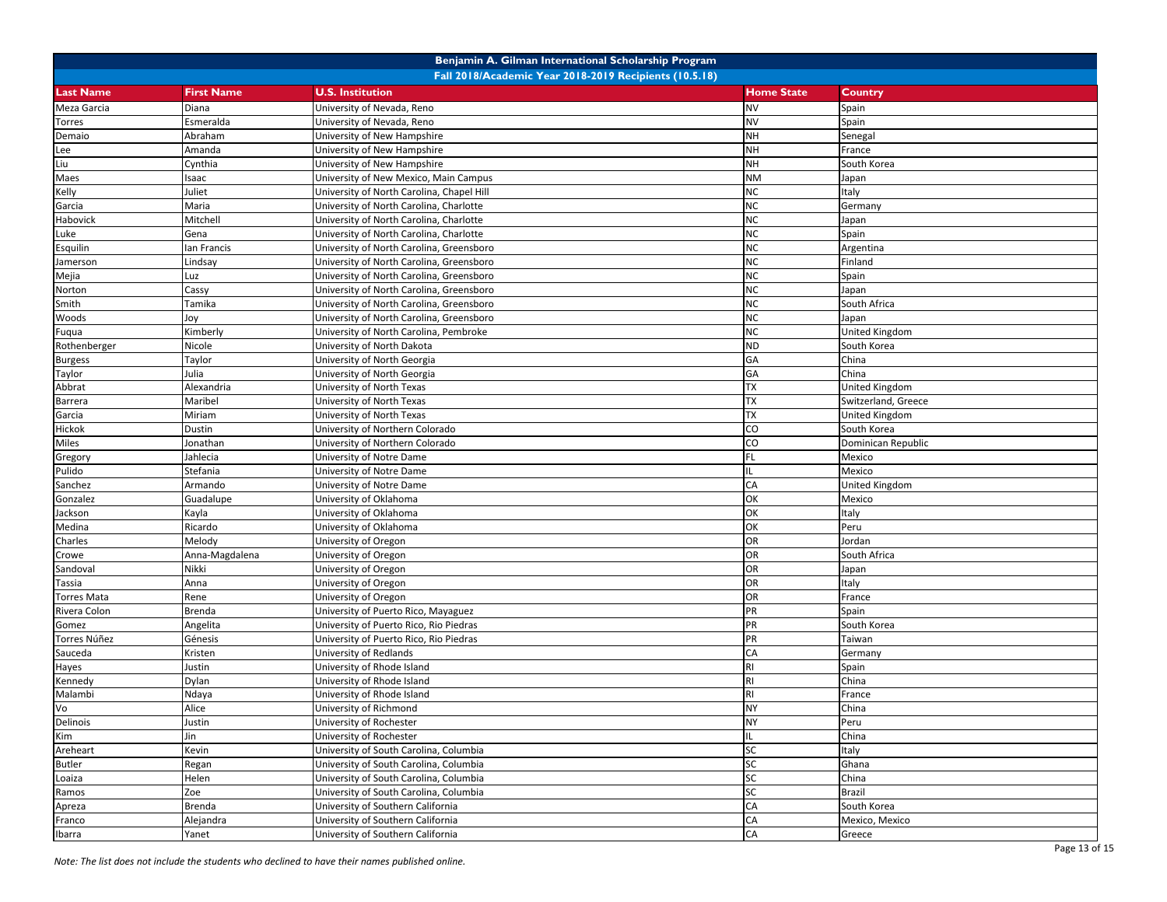| Benjamin A. Gilman International Scholarship Program   |                   |                                           |                   |                     |  |  |  |  |
|--------------------------------------------------------|-------------------|-------------------------------------------|-------------------|---------------------|--|--|--|--|
| Fall 2018/Academic Year 2018-2019 Recipients (10.5.18) |                   |                                           |                   |                     |  |  |  |  |
| <b>Last Name</b>                                       | <b>First Name</b> | <b>U.S. Institution</b>                   | <b>Home State</b> | Country             |  |  |  |  |
| Meza Garcia                                            | Diana             | University of Nevada, Reno                | <b>NV</b>         | Spain               |  |  |  |  |
| Torres                                                 | Esmeralda         | University of Nevada, Reno                | <b>NV</b>         | Spain               |  |  |  |  |
| Demaio                                                 | Abraham           | University of New Hampshire               | <b>NH</b>         | Senegal             |  |  |  |  |
| Lee                                                    | Amanda            | University of New Hampshire               | <b>NH</b>         | France              |  |  |  |  |
| Liu                                                    | Cynthia           | University of New Hampshire               | <b>NH</b>         | South Korea         |  |  |  |  |
| Maes                                                   | Isaac             | University of New Mexico, Main Campus     | <b>NM</b>         | Japan               |  |  |  |  |
| Kelly                                                  | Juliet            | University of North Carolina, Chapel Hill | <b>NC</b>         | Italy               |  |  |  |  |
| Garcia                                                 | Maria             | University of North Carolina, Charlotte   | <b>NC</b>         | Germany             |  |  |  |  |
| Habovick                                               | Mitchell          | University of North Carolina, Charlotte   | <b>NC</b>         | Japan               |  |  |  |  |
| Luke                                                   | Gena              | University of North Carolina, Charlotte   | <b>NC</b>         | Spain               |  |  |  |  |
| Esquilin                                               | lan Francis       | University of North Carolina, Greensboro  | <b>NC</b>         | Argentina           |  |  |  |  |
| Jamerson                                               | Lindsay           | University of North Carolina, Greensboro  | <b>NC</b>         | Finland             |  |  |  |  |
| Mejia                                                  | Luz               | University of North Carolina, Greensboro  | <b>NC</b>         | Spain               |  |  |  |  |
| Norton                                                 | Cassy             | University of North Carolina, Greensboro  | <b>NC</b>         | Japan               |  |  |  |  |
| Smith                                                  | Tamika            | University of North Carolina, Greensboro  | <b>NC</b>         | South Africa        |  |  |  |  |
| Woods                                                  | Joy               | University of North Carolina, Greensboro  | <b>NC</b>         | Japan               |  |  |  |  |
| Fuqua                                                  | Kimberly          | University of North Carolina, Pembroke    | <b>NC</b>         | United Kingdom      |  |  |  |  |
| Rothenberger                                           | Nicole            | University of North Dakota                | <b>ND</b>         | South Korea         |  |  |  |  |
| <b>Burgess</b>                                         | <b>Taylor</b>     | University of North Georgia               | GA                | China               |  |  |  |  |
| Taylor                                                 | Julia             | University of North Georgia               | GA                | China               |  |  |  |  |
| Abbrat                                                 | Alexandria        | University of North Texas                 | <b>TX</b>         | United Kingdom      |  |  |  |  |
| <b>Barrera</b>                                         | Maribel           | University of North Texas                 | <b>TX</b>         | Switzerland, Greece |  |  |  |  |
| Garcia                                                 | Miriam            | University of North Texas                 | <b>TX</b>         | United Kingdom      |  |  |  |  |
| Hickok                                                 | Dustin            | University of Northern Colorado           | CO                | South Korea         |  |  |  |  |
| Miles                                                  | Jonathan          | University of Northern Colorado           | co                | Dominican Republic  |  |  |  |  |
| Gregory                                                | Jahlecia          | University of Notre Dame                  | FL                | Mexico              |  |  |  |  |
| Pulido                                                 | Stefania          | University of Notre Dame                  | IL                | Mexico              |  |  |  |  |
| Sanchez                                                | Armando           | University of Notre Dame                  | CA                | United Kingdom      |  |  |  |  |
| Gonzalez                                               | Guadalupe         | University of Oklahoma                    | OK                | Mexico              |  |  |  |  |
| Jackson                                                | Kayla             | University of Oklahoma                    | OK                | Italy               |  |  |  |  |
| Medina                                                 | Ricardo           | University of Oklahoma                    | OK                | Peru                |  |  |  |  |
| Charles                                                | Melody            | University of Oregon                      | OR                | Jordan              |  |  |  |  |
| Crowe                                                  | Anna-Magdalena    | University of Oregon                      | OR                | South Africa        |  |  |  |  |
| Sandoval                                               | Nikki             | University of Oregon                      | OR                | Japan               |  |  |  |  |
| Tassia                                                 | Anna              | University of Oregon                      | OR                | Italy               |  |  |  |  |
| <b>Torres Mata</b>                                     | Rene              | University of Oregon                      | OR                | France              |  |  |  |  |
| Rivera Colon                                           | Brenda            | University of Puerto Rico, Mayaguez       | PR                | Spain               |  |  |  |  |
| Gomez                                                  | Angelita          | University of Puerto Rico, Rio Piedras    | PR                | South Korea         |  |  |  |  |
| Torres Núñez                                           | Génesis           | University of Puerto Rico, Rio Piedras    | PR                | Taiwan              |  |  |  |  |
| Sauceda                                                | Kristen           | University of Redlands                    | CA                | Germany             |  |  |  |  |
| Hayes                                                  | Justin            | University of Rhode Island                | R <sub>l</sub>    | Spain               |  |  |  |  |
| Kennedy                                                | Dylan             | University of Rhode Island                | <b>RI</b>         | China               |  |  |  |  |
| Malambi                                                | Ndaya             | University of Rhode Island                | R1                | France              |  |  |  |  |
| Vo                                                     | Alice             | University of Richmond                    | <b>NY</b>         | China               |  |  |  |  |
| Delinois                                               | Justin            | University of Rochester                   | <b>NY</b>         | Peru                |  |  |  |  |
| Kim                                                    | Jin               | University of Rochester                   | IL.               | China               |  |  |  |  |
| Areheart                                               | Kevin             | University of South Carolina, Columbia    | SC                | Italy               |  |  |  |  |
| <b>Butler</b>                                          | Regan             | University of South Carolina, Columbia    | SC                | Ghana               |  |  |  |  |
| Loaiza                                                 | Helen             | University of South Carolina, Columbia    | <b>SC</b>         | China               |  |  |  |  |
| Ramos                                                  | Zoe               | University of South Carolina, Columbia    | SC                | <b>Brazil</b>       |  |  |  |  |
| Apreza                                                 | Brenda            | University of Southern California         | CA                | South Korea         |  |  |  |  |
| Franco                                                 | Alejandra         | University of Southern California         | CA                | Mexico, Mexico      |  |  |  |  |
| Ibarra                                                 | Yanet             | University of Southern California         | CA                | Greece              |  |  |  |  |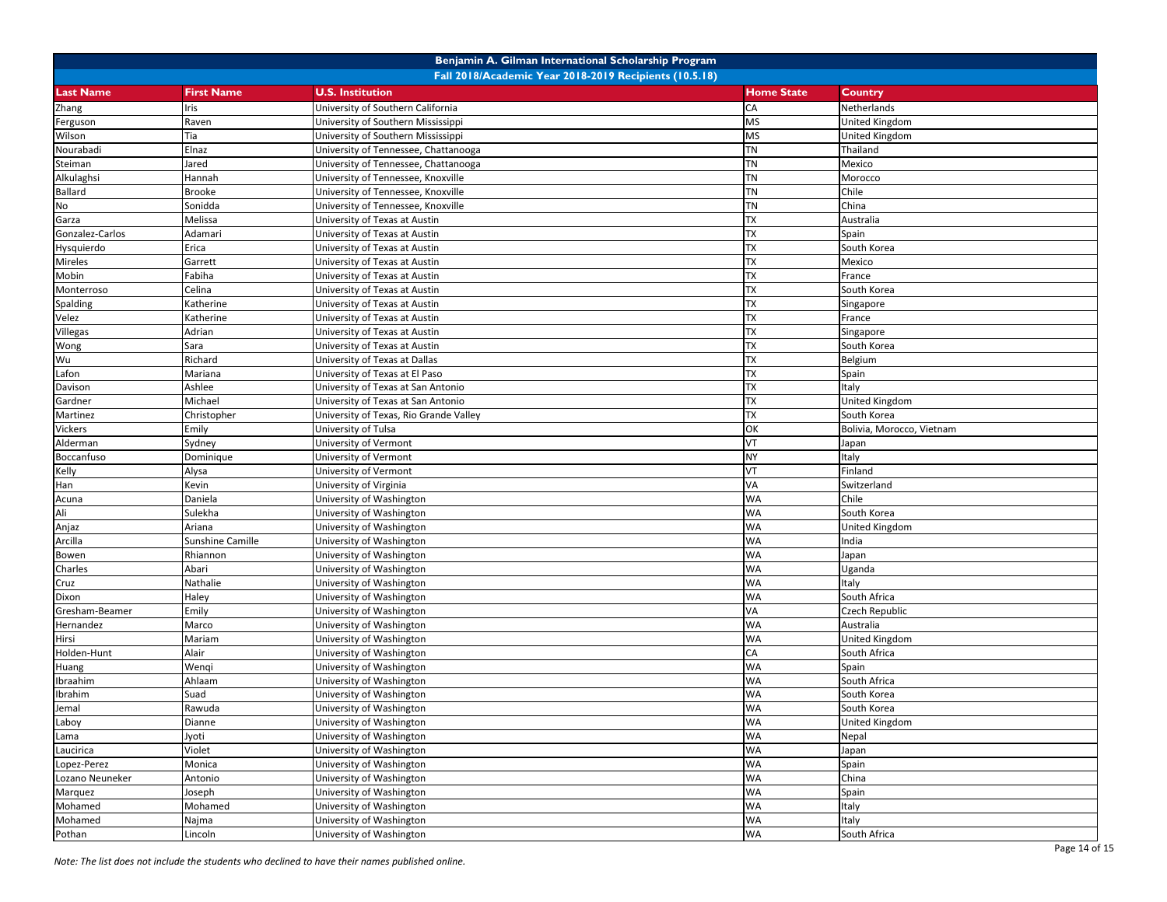| Benjamin A. Gilman International Scholarship Program   |                         |                                        |                   |                           |  |  |  |  |
|--------------------------------------------------------|-------------------------|----------------------------------------|-------------------|---------------------------|--|--|--|--|
| Fall 2018/Academic Year 2018-2019 Recipients (10.5.18) |                         |                                        |                   |                           |  |  |  |  |
| <b>Last Name</b>                                       | <b>First Name</b>       | <b>U.S. Institution</b>                | <b>Home State</b> | Country                   |  |  |  |  |
| Zhang                                                  | ris                     | University of Southern California      | CA                | Netherlands               |  |  |  |  |
| Ferguson                                               | Raven                   | University of Southern Mississippi     | <b>MS</b>         | United Kingdom            |  |  |  |  |
| Wilson                                                 | Tia                     | University of Southern Mississippi     | <b>MS</b>         | United Kingdom            |  |  |  |  |
| Nourabadi                                              | Elnaz                   | University of Tennessee, Chattanooga   | TN                | Thailand                  |  |  |  |  |
| Steiman                                                | Jared                   | University of Tennessee, Chattanooga   | TN                | Mexico                    |  |  |  |  |
| Alkulaghsi                                             | Hannah                  | University of Tennessee, Knoxville     | <b>TN</b>         | Morocco                   |  |  |  |  |
| Ballard                                                | Brooke                  | University of Tennessee, Knoxville     | <b>TN</b>         | Chile                     |  |  |  |  |
| No                                                     | Sonidda                 | University of Tennessee, Knoxville     | <b>TN</b>         | China                     |  |  |  |  |
| Garza                                                  | Melissa                 | University of Texas at Austin          | TX                | Australia                 |  |  |  |  |
| Gonzalez-Carlos                                        | Adamari                 | University of Texas at Austin          | <b>TX</b>         | Spain                     |  |  |  |  |
| Hysquierdo                                             | Erica                   | University of Texas at Austin          | TX                | South Korea               |  |  |  |  |
| Mireles                                                | Garrett                 | University of Texas at Austin          | <b>TX</b>         | Mexico                    |  |  |  |  |
| Mobin                                                  | Fabiha                  | University of Texas at Austin          | <b>TX</b>         | France                    |  |  |  |  |
| Monterroso                                             | Celina                  | University of Texas at Austin          | <b>TX</b>         | South Korea               |  |  |  |  |
| Spalding                                               | Katherine               | University of Texas at Austin          | TX                | Singapore                 |  |  |  |  |
| Velez                                                  | Katherine               | University of Texas at Austin          | TX                | France                    |  |  |  |  |
| Villegas                                               | Adrian                  | University of Texas at Austin          | TX                | Singapore                 |  |  |  |  |
| Wong                                                   | Sara                    | University of Texas at Austin          | <b>TX</b>         | South Korea               |  |  |  |  |
| Wu                                                     | Richard                 | University of Texas at Dallas          | <b>ΤΧ</b>         | Belgium                   |  |  |  |  |
| Lafon                                                  | Mariana                 | University of Texas at El Paso         | TX                | Spain                     |  |  |  |  |
| Davison                                                | Ashlee                  | University of Texas at San Antonio     | TX                | Italy                     |  |  |  |  |
| Gardner                                                | Michael                 | University of Texas at San Antonio     | TX                | United Kingdom            |  |  |  |  |
| Martinez                                               | Christopher             | University of Texas, Rio Grande Valley | TX                | South Korea               |  |  |  |  |
| <b>Vickers</b>                                         | Emily                   | University of Tulsa                    | OK                | Bolivia, Morocco, Vietnam |  |  |  |  |
| Alderman                                               | Sydney                  | University of Vermont                  | VT                | Japan                     |  |  |  |  |
| Boccanfuso                                             | Dominique               | University of Vermont                  | <b>NY</b>         | taly                      |  |  |  |  |
| Kelly                                                  | Alysa                   | University of Vermont                  | VT                | Finland                   |  |  |  |  |
| Han                                                    | Kevin                   | University of Virginia                 | VA                | Switzerland               |  |  |  |  |
| Acuna                                                  | Daniela                 | University of Washington               | <b>WA</b>         | Chile                     |  |  |  |  |
| Ali                                                    | Sulekha                 | University of Washington               | <b>WA</b>         | South Korea               |  |  |  |  |
| Anjaz                                                  | Ariana                  | University of Washington               | <b>WA</b>         | United Kingdom            |  |  |  |  |
| Arcilla                                                | <b>Sunshine Camille</b> | University of Washington               | <b>WA</b>         | India                     |  |  |  |  |
| Bowen                                                  | Rhiannon                | University of Washington               | <b>WA</b>         | Japan                     |  |  |  |  |
| Charles                                                | Abari                   | University of Washington               | <b>WA</b>         | Uganda                    |  |  |  |  |
| Cruz                                                   | Nathalie                | University of Washington               | WA                | Italy                     |  |  |  |  |
| Dixon                                                  | Haley                   | University of Washington               | <b>WA</b>         | South Africa              |  |  |  |  |
| Gresham-Beamer                                         | Emily                   | University of Washington               | VA                | Czech Republic            |  |  |  |  |
| Hernandez                                              | Marco                   | University of Washington               | <b>WA</b>         | Australia                 |  |  |  |  |
| Hirsi                                                  | Mariam                  | University of Washington               | <b>WA</b>         | United Kingdom            |  |  |  |  |
| Holden-Hunt                                            | Alair                   | University of Washington               | CA                | South Africa              |  |  |  |  |
| Huang                                                  | Wengi                   | University of Washington               | <b>WA</b>         | Spain                     |  |  |  |  |
| Ibraahim                                               | Ahlaam                  | University of Washington               | <b>WA</b>         | South Africa              |  |  |  |  |
| Ibrahim                                                | Suad                    | University of Washington               | <b>WA</b>         | South Korea               |  |  |  |  |
| Jemal                                                  | Rawuda                  | University of Washington               | <b>WA</b>         | South Korea               |  |  |  |  |
| Laboy                                                  | Dianne                  | University of Washington               | WA                | United Kingdom            |  |  |  |  |
| Lama                                                   | Jyoti                   | University of Washington               | <b>WA</b>         | Nepal                     |  |  |  |  |
| Laucirica                                              | Violet                  | University of Washington               | WA                | Japan                     |  |  |  |  |
| Lopez-Perez                                            | Monica                  | University of Washington               | <b>WA</b>         | Spain                     |  |  |  |  |
| Lozano Neuneker                                        | Antonio                 | University of Washington               | WA                | China                     |  |  |  |  |
| Marquez                                                | Joseph                  | University of Washington               | WA                | Spain                     |  |  |  |  |
| Mohamed                                                | Mohamed                 | University of Washington               | WA                | Italy                     |  |  |  |  |
| Mohamed                                                | Najma                   | University of Washington               | WA                | Italy                     |  |  |  |  |
| Pothan                                                 | Lincoln                 | University of Washington               | WA                | South Africa              |  |  |  |  |